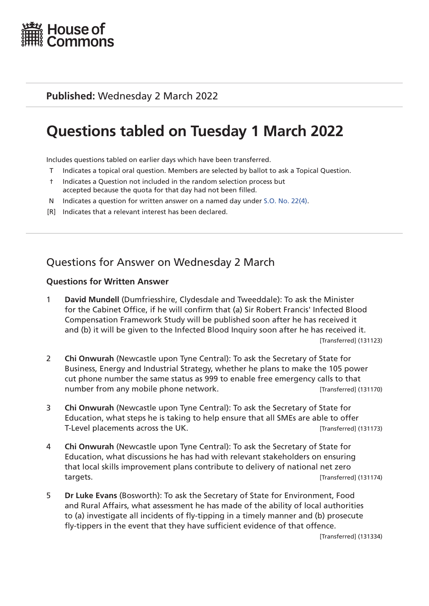

### **Published:** Wednesday 2 March 2022

# **Questions tabled on Tuesday 1 March 2022**

Includes questions tabled on earlier days which have been transferred.

- T Indicates a topical oral question. Members are selected by ballot to ask a Topical Question.
- † Indicates a Question not included in the random selection process but accepted because the quota for that day had not been filled.
- N Indicates a question for written answer on a named day under [S.O. No. 22\(4\)](http://publications.parliament.uk/pa/cm201719/cmstords/0004/body.html#22(4)).
- [R] Indicates that a relevant interest has been declared.

# Questions for Answer on Wednesday 2 March

#### **Questions for Written Answer**

- 1 **David Mundell** (Dumfriesshire, Clydesdale and Tweeddale): To ask the Minister for the Cabinet Office, if he will confirm that (a) Sir Robert Francis' Infected Blood Compensation Framework Study will be published soon after he has received it and (b) it will be given to the Infected Blood Inquiry soon after he has received it. [Transferred] (131123)
- 2 **Chi Onwurah** (Newcastle upon Tyne Central): To ask the Secretary of State for Business, Energy and Industrial Strategy, whether he plans to make the 105 power cut phone number the same status as 999 to enable free emergency calls to that number from any mobile phone network. [Transferred] (131170)
- 3 **Chi Onwurah** (Newcastle upon Tyne Central): To ask the Secretary of State for Education, what steps he is taking to help ensure that all SMEs are able to offer T-Level placements across the UK. **Example 20 and 131173** [Transferred] (131173)
- 4 **Chi Onwurah** (Newcastle upon Tyne Central): To ask the Secretary of State for Education, what discussions he has had with relevant stakeholders on ensuring that local skills improvement plans contribute to delivery of national net zero targets. [Transferred] (131174)
- 5 **Dr Luke Evans** (Bosworth): To ask the Secretary of State for Environment, Food and Rural Affairs, what assessment he has made of the ability of local authorities to (a) investigate all incidents of fly-tipping in a timely manner and (b) prosecute fly-tippers in the event that they have sufficient evidence of that offence.

[Transferred] (131334)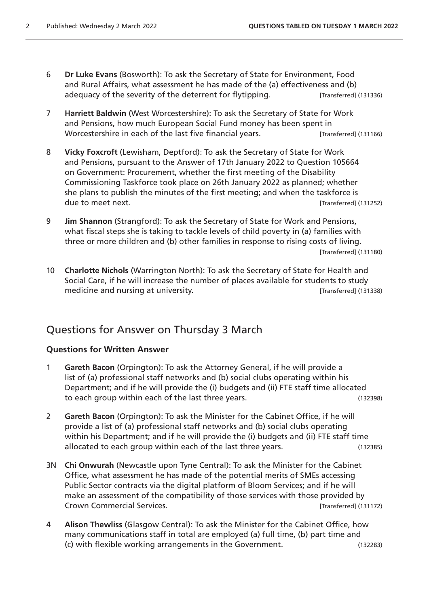- 6 **Dr Luke Evans** (Bosworth): To ask the Secretary of State for Environment, Food and Rural Affairs, what assessment he has made of the (a) effectiveness and (b) adequacy of the severity of the deterrent for flytipping. [Transferred] (131336)
- 7 **Harriett Baldwin** (West Worcestershire): To ask the Secretary of State for Work and Pensions, how much European Social Fund money has been spent in Worcestershire in each of the last five financial years. [Transferred] (131166)
- 8 **Vicky Foxcroft** (Lewisham, Deptford): To ask the Secretary of State for Work and Pensions, pursuant to the Answer of 17th January 2022 to Question 105664 on Government: Procurement, whether the first meeting of the Disability Commissioning Taskforce took place on 26th January 2022 as planned; whether she plans to publish the minutes of the first meeting; and when the taskforce is due to meet next. **Example 20** and the state of the state of the state of the state of the state of the state of the state of the state of the state of the state of the state of the state of the state of the state of the s
- 9 **Jim Shannon** (Strangford): To ask the Secretary of State for Work and Pensions, what fiscal steps she is taking to tackle levels of child poverty in (a) families with three or more children and (b) other families in response to rising costs of living. [Transferred] (131180)
- 10 **Charlotte Nichols** (Warrington North): To ask the Secretary of State for Health and Social Care, if he will increase the number of places available for students to study medicine and nursing at university. The same state of the state of the state (131338)

### Questions for Answer on Thursday 3 March

#### **Questions for Written Answer**

- 1 **Gareth Bacon** (Orpington): To ask the Attorney General, if he will provide a list of (a) professional staff networks and (b) social clubs operating within his Department; and if he will provide the (i) budgets and (ii) FTE staff time allocated to each group within each of the last three years. (132398)
- 2 **Gareth Bacon** (Orpington): To ask the Minister for the Cabinet Office, if he will provide a list of (a) professional staff networks and (b) social clubs operating within his Department; and if he will provide the (i) budgets and (ii) FTE staff time allocated to each group within each of the last three years. (132385)
- 3N **Chi Onwurah** (Newcastle upon Tyne Central): To ask the Minister for the Cabinet Office, what assessment he has made of the potential merits of SMEs accessing Public Sector contracts via the digital platform of Bloom Services; and if he will make an assessment of the compatibility of those services with those provided by Crown Commercial Services. [Transferred] (131172)
- 4 **Alison Thewliss** (Glasgow Central): To ask the Minister for the Cabinet Office, how many communications staff in total are employed (a) full time, (b) part time and (c) with flexible working arrangements in the Government. (132283)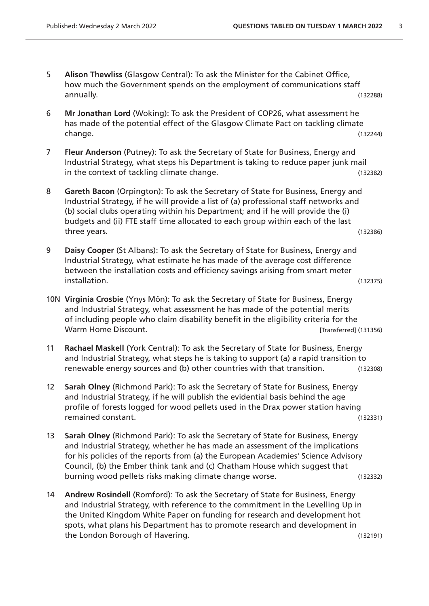- 5 **Alison Thewliss** (Glasgow Central): To ask the Minister for the Cabinet Office, how much the Government spends on the employment of communications staff annually. (132288)
- 6 **Mr Jonathan Lord** (Woking): To ask the President of COP26, what assessment he has made of the potential effect of the Glasgow Climate Pact on tackling climate change. (132244)
- 7 **Fleur Anderson** (Putney): To ask the Secretary of State for Business, Energy and Industrial Strategy, what steps his Department is taking to reduce paper junk mail in the context of tackling climate change. (132382)
- 8 **Gareth Bacon** (Orpington): To ask the Secretary of State for Business, Energy and Industrial Strategy, if he will provide a list of (a) professional staff networks and (b) social clubs operating within his Department; and if he will provide the (i) budgets and (ii) FTE staff time allocated to each group within each of the last three years. (132386)
- 9 **Daisy Cooper** (St Albans): To ask the Secretary of State for Business, Energy and Industrial Strategy, what estimate he has made of the average cost difference between the installation costs and efficiency savings arising from smart meter installation. (132375)
- 10N **Virginia Crosbie** (Ynys Môn): To ask the Secretary of State for Business, Energy and Industrial Strategy, what assessment he has made of the potential merits of including people who claim disability benefit in the eligibility criteria for the Warm Home Discount. **Warm Home Discount. Example 20** (131356)
- 11 **Rachael Maskell** (York Central): To ask the Secretary of State for Business, Energy and Industrial Strategy, what steps he is taking to support (a) a rapid transition to renewable energy sources and (b) other countries with that transition. (132308)
- 12 **Sarah Olney** (Richmond Park): To ask the Secretary of State for Business, Energy and Industrial Strategy, if he will publish the evidential basis behind the age profile of forests logged for wood pellets used in the Drax power station having remained constant. (132331)
- 13 **Sarah Olney** (Richmond Park): To ask the Secretary of State for Business, Energy and Industrial Strategy, whether he has made an assessment of the implications for his policies of the reports from (a) the European Academies' Science Advisory Council, (b) the Ember think tank and (c) Chatham House which suggest that burning wood pellets risks making climate change worse. (132332)
- 14 **Andrew Rosindell** (Romford): To ask the Secretary of State for Business, Energy and Industrial Strategy, with reference to the commitment in the Levelling Up in the United Kingdom White Paper on funding for research and development hot spots, what plans his Department has to promote research and development in the London Borough of Havering. (132191)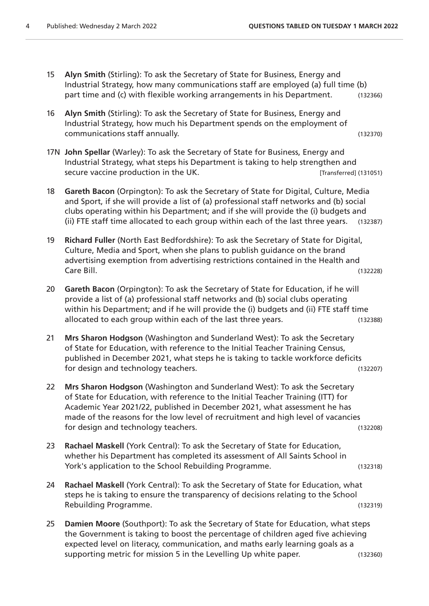- 15 **Alyn Smith** (Stirling): To ask the Secretary of State for Business, Energy and Industrial Strategy, how many communications staff are employed (a) full time (b) part time and (c) with flexible working arrangements in his Department. (132366)
- 16 **Alyn Smith** (Stirling): To ask the Secretary of State for Business, Energy and Industrial Strategy, how much his Department spends on the employment of communications staff annually. (132370)
- 17N **John Spellar** (Warley): To ask the Secretary of State for Business, Energy and Industrial Strategy, what steps his Department is taking to help strengthen and secure vaccine production in the UK. *If example 131051* [Transferred] (131051)
- 18 **Gareth Bacon** (Orpington): To ask the Secretary of State for Digital, Culture, Media and Sport, if she will provide a list of (a) professional staff networks and (b) social clubs operating within his Department; and if she will provide the (i) budgets and (ii) FTE staff time allocated to each group within each of the last three years. (132387)
- 19 **Richard Fuller** (North East Bedfordshire): To ask the Secretary of State for Digital, Culture, Media and Sport, when she plans to publish guidance on the brand advertising exemption from advertising restrictions contained in the Health and Care Bill. (132228)
- 20 **Gareth Bacon** (Orpington): To ask the Secretary of State for Education, if he will provide a list of (a) professional staff networks and (b) social clubs operating within his Department; and if he will provide the (i) budgets and (ii) FTE staff time allocated to each group within each of the last three years. (132388)
- 21 **Mrs Sharon Hodgson** (Washington and Sunderland West): To ask the Secretary of State for Education, with reference to the Initial Teacher Training Census, published in December 2021, what steps he is taking to tackle workforce deficits for design and technology teachers. (132207)
- 22 **Mrs Sharon Hodgson** (Washington and Sunderland West): To ask the Secretary of State for Education, with reference to the Initial Teacher Training (ITT) for Academic Year 2021/22, published in December 2021, what assessment he has made of the reasons for the low level of recruitment and high level of vacancies for design and technology teachers. (132208)
- 23 **Rachael Maskell** (York Central): To ask the Secretary of State for Education, whether his Department has completed its assessment of All Saints School in York's application to the School Rebuilding Programme. (132318)
- 24 **Rachael Maskell** (York Central): To ask the Secretary of State for Education, what steps he is taking to ensure the transparency of decisions relating to the School Rebuilding Programme. (132319)
- 25 **Damien Moore** (Southport): To ask the Secretary of State for Education, what steps the Government is taking to boost the percentage of children aged five achieving expected level on literacy, communication, and maths early learning goals as a supporting metric for mission 5 in the Levelling Up white paper. (132360)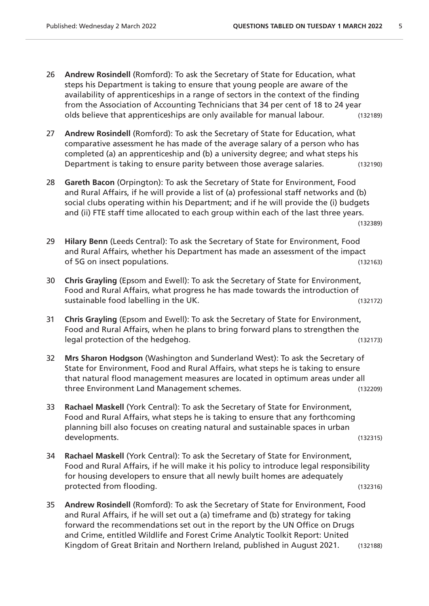- 26 **Andrew Rosindell** (Romford): To ask the Secretary of State for Education, what steps his Department is taking to ensure that young people are aware of the availability of apprenticeships in a range of sectors in the context of the finding from the Association of Accounting Technicians that 34 per cent of 18 to 24 year olds believe that apprenticeships are only available for manual labour. (132189)
- 27 **Andrew Rosindell** (Romford): To ask the Secretary of State for Education, what comparative assessment he has made of the average salary of a person who has completed (a) an apprenticeship and (b) a university degree; and what steps his Department is taking to ensure parity between those average salaries. (132190)
- 28 **Gareth Bacon** (Orpington): To ask the Secretary of State for Environment, Food and Rural Affairs, if he will provide a list of (a) professional staff networks and (b) social clubs operating within his Department; and if he will provide the (i) budgets and (ii) FTE staff time allocated to each group within each of the last three years. (132389)
- 29 **Hilary Benn** (Leeds Central): To ask the Secretary of State for Environment, Food and Rural Affairs, whether his Department has made an assessment of the impact of 5G on insect populations. (132163)
- 30 **Chris Grayling** (Epsom and Ewell): To ask the Secretary of State for Environment, Food and Rural Affairs, what progress he has made towards the introduction of sustainable food labelling in the UK. (132172)
- 31 **Chris Grayling** (Epsom and Ewell): To ask the Secretary of State for Environment, Food and Rural Affairs, when he plans to bring forward plans to strengthen the legal protection of the hedgehog. (132173)
- 32 **Mrs Sharon Hodgson** (Washington and Sunderland West): To ask the Secretary of State for Environment, Food and Rural Affairs, what steps he is taking to ensure that natural flood management measures are located in optimum areas under all three Environment Land Management schemes. (132209)
- 33 **Rachael Maskell** (York Central): To ask the Secretary of State for Environment, Food and Rural Affairs, what steps he is taking to ensure that any forthcoming planning bill also focuses on creating natural and sustainable spaces in urban developments. (132315)
- 34 **Rachael Maskell** (York Central): To ask the Secretary of State for Environment, Food and Rural Affairs, if he will make it his policy to introduce legal responsibility for housing developers to ensure that all newly built homes are adequately protected from flooding. The same state of the state of the state of the state of the state of the state of the state of the state of the state of the state of the state of the state of the state of the state of the state
- 35 **Andrew Rosindell** (Romford): To ask the Secretary of State for Environment, Food and Rural Affairs, if he will set out a (a) timeframe and (b) strategy for taking forward the recommendations set out in the report by the UN Office on Drugs and Crime, entitled Wildlife and Forest Crime Analytic Toolkit Report: United Kingdom of Great Britain and Northern Ireland, published in August 2021. (132188)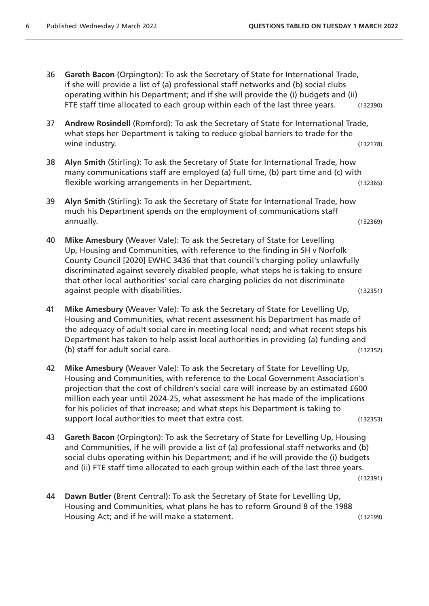- 36 **Gareth Bacon** (Orpington): To ask the Secretary of State for International Trade, if she will provide a list of (a) professional staff networks and (b) social clubs operating within his Department; and if she will provide the (i) budgets and (ii) FTE staff time allocated to each group within each of the last three years. (132390)
- 37 **Andrew Rosindell** (Romford): To ask the Secretary of State for International Trade, what steps her Department is taking to reduce global barriers to trade for the wine industry. (132178)
- 38 **Alyn Smith** (Stirling): To ask the Secretary of State for International Trade, how many communications staff are employed (a) full time, (b) part time and (c) with flexible working arrangements in her Department. (132365)
- 39 **Alyn Smith** (Stirling): To ask the Secretary of State for International Trade, how much his Department spends on the employment of communications staff annually. (132369)
- 40 **Mike Amesbury** (Weaver Vale): To ask the Secretary of State for Levelling Up, Housing and Communities, with reference to the finding in SH v Norfolk County Council [2020] EWHC 3436 that that council's charging policy unlawfully discriminated against severely disabled people, what steps he is taking to ensure that other local authorities' social care charging policies do not discriminate against people with disabilities. The contract of the contract of the contract of the contract of the contract o
- 41 **Mike Amesbury** (Weaver Vale): To ask the Secretary of State for Levelling Up, Housing and Communities, what recent assessment his Department has made of the adequacy of adult social care in meeting local need; and what recent steps his Department has taken to help assist local authorities in providing (a) funding and (b) staff for adult social care. (132352)
- 42 **Mike Amesbury** (Weaver Vale): To ask the Secretary of State for Levelling Up, Housing and Communities, with reference to the Local Government Association's projection that the cost of children's social care will increase by an estimated £600 million each year until 2024-25, what assessment he has made of the implications for his policies of that increase; and what steps his Department is taking to support local authorities to meet that extra cost. (132353)
- 43 **Gareth Bacon** (Orpington): To ask the Secretary of State for Levelling Up, Housing and Communities, if he will provide a list of (a) professional staff networks and (b) social clubs operating within his Department; and if he will provide the (i) budgets and (ii) FTE staff time allocated to each group within each of the last three years.

(132391)

44 **Dawn Butler** (Brent Central): To ask the Secretary of State for Levelling Up, Housing and Communities, what plans he has to reform Ground 8 of the 1988 Housing Act; and if he will make a statement. (132199)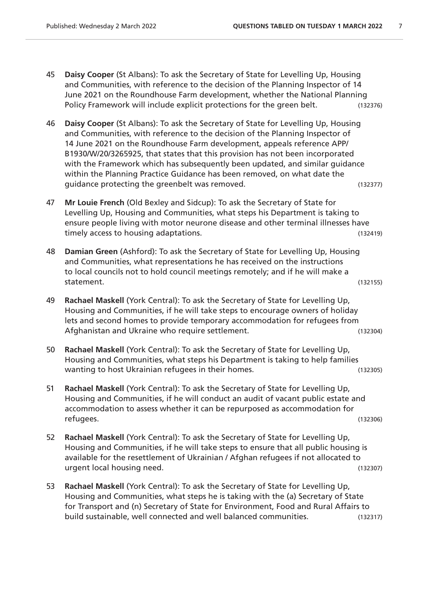- 45 **Daisy Cooper** (St Albans): To ask the Secretary of State for Levelling Up, Housing and Communities, with reference to the decision of the Planning Inspector of 14 June 2021 on the Roundhouse Farm development, whether the National Planning Policy Framework will include explicit protections for the green belt. (132376)
- 46 **Daisy Cooper** (St Albans): To ask the Secretary of State for Levelling Up, Housing and Communities, with reference to the decision of the Planning Inspector of 14 June 2021 on the Roundhouse Farm development, appeals reference APP/ B1930/W/20/3265925, that states that this provision has not been incorporated with the Framework which has subsequently been updated, and similar guidance within the Planning Practice Guidance has been removed, on what date the guidance protecting the greenbelt was removed. The same many control of the system of the system of the system
- 47 **Mr Louie French** (Old Bexley and Sidcup): To ask the Secretary of State for Levelling Up, Housing and Communities, what steps his Department is taking to ensure people living with motor neurone disease and other terminal illnesses have timely access to housing adaptations. (132419)
- 48 **Damian Green** (Ashford): To ask the Secretary of State for Levelling Up, Housing and Communities, what representations he has received on the instructions to local councils not to hold council meetings remotely; and if he will make a statement. (132155)
- 49 **Rachael Maskell** (York Central): To ask the Secretary of State for Levelling Up, Housing and Communities, if he will take steps to encourage owners of holiday lets and second homes to provide temporary accommodation for refugees from Afghanistan and Ukraine who require settlement. The manuscript of the manuscript of the manuscript of the manuscript of the manuscript of the manuscript of the manuscript of the manuscript of the manuscript of the manuscri
- 50 **Rachael Maskell** (York Central): To ask the Secretary of State for Levelling Up, Housing and Communities, what steps his Department is taking to help families wanting to host Ukrainian refugees in their homes. (132305)
- 51 **Rachael Maskell** (York Central): To ask the Secretary of State for Levelling Up, Housing and Communities, if he will conduct an audit of vacant public estate and accommodation to assess whether it can be repurposed as accommodation for refugees. (132306)
- 52 **Rachael Maskell** (York Central): To ask the Secretary of State for Levelling Up, Housing and Communities, if he will take steps to ensure that all public housing is available for the resettlement of Ukrainian / Afghan refugees if not allocated to urgent local housing need. (132307)
- 53 **Rachael Maskell** (York Central): To ask the Secretary of State for Levelling Up, Housing and Communities, what steps he is taking with the (a) Secretary of State for Transport and (n) Secretary of State for Environment, Food and Rural Affairs to build sustainable, well connected and well balanced communities. (132317)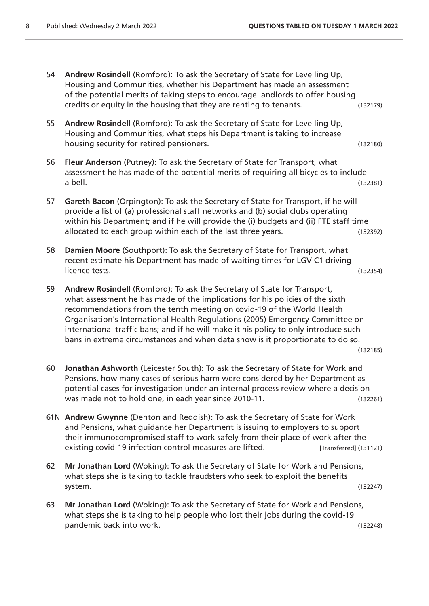- 54 **Andrew Rosindell** (Romford): To ask the Secretary of State for Levelling Up, Housing and Communities, whether his Department has made an assessment of the potential merits of taking steps to encourage landlords to offer housing credits or equity in the housing that they are renting to tenants. (132179) 55 **Andrew Rosindell** (Romford): To ask the Secretary of State for Levelling Up, Housing and Communities, what steps his Department is taking to increase housing security for retired pensioners. The security of the security of the security of the security of the s 56 **Fleur Anderson** (Putney): To ask the Secretary of State for Transport, what assessment he has made of the potential merits of requiring all bicycles to include a bell. (132381) 57 **Gareth Bacon** (Orpington): To ask the Secretary of State for Transport, if he will provide a list of (a) professional staff networks and (b) social clubs operating within his Department; and if he will provide the (i) budgets and (ii) FTE staff time allocated to each group within each of the last three years. (132392)
- 58 **Damien Moore** (Southport): To ask the Secretary of State for Transport, what recent estimate his Department has made of waiting times for LGV C1 driving licence tests. (132354)
- 59 **Andrew Rosindell** (Romford): To ask the Secretary of State for Transport, what assessment he has made of the implications for his policies of the sixth recommendations from the tenth meeting on covid-19 of the World Health Organisation's International Health Regulations (2005) Emergency Committee on international traffic bans; and if he will make it his policy to only introduce such bans in extreme circumstances and when data show is it proportionate to do so.
	- (132185)
- 60 **Jonathan Ashworth** (Leicester South): To ask the Secretary of State for Work and Pensions, how many cases of serious harm were considered by her Department as potential cases for investigation under an internal process review where a decision was made not to hold one, in each year since 2010-11. (132261)
- 61N **Andrew Gwynne** (Denton and Reddish): To ask the Secretary of State for Work and Pensions, what guidance her Department is issuing to employers to support their immunocompromised staff to work safely from their place of work after the existing covid-19 infection control measures are lifted. [Transferred] (131121)
- 62 **Mr Jonathan Lord** (Woking): To ask the Secretary of State for Work and Pensions, what steps she is taking to tackle fraudsters who seek to exploit the benefits system. (132247)
- 63 **Mr Jonathan Lord** (Woking): To ask the Secretary of State for Work and Pensions, what steps she is taking to help people who lost their jobs during the covid-19 pandemic back into work. (132248)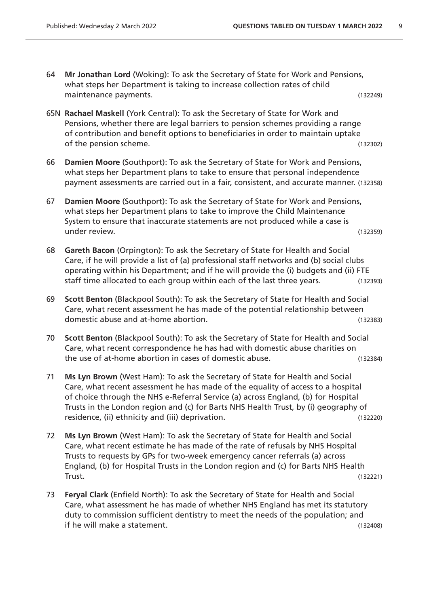- 64 **Mr Jonathan Lord** (Woking): To ask the Secretary of State for Work and Pensions, what steps her Department is taking to increase collection rates of child maintenance payments. (132249)
- 65N **Rachael Maskell** (York Central): To ask the Secretary of State for Work and Pensions, whether there are legal barriers to pension schemes providing a range of contribution and benefit options to beneficiaries in order to maintain uptake of the pension scheme. (132302)
- 66 **Damien Moore** (Southport): To ask the Secretary of State for Work and Pensions, what steps her Department plans to take to ensure that personal independence payment assessments are carried out in a fair, consistent, and accurate manner. (132358)
- 67 **Damien Moore** (Southport): To ask the Secretary of State for Work and Pensions, what steps her Department plans to take to improve the Child Maintenance System to ensure that inaccurate statements are not produced while a case is under review. (132359)
- 68 **Gareth Bacon** (Orpington): To ask the Secretary of State for Health and Social Care, if he will provide a list of (a) professional staff networks and (b) social clubs operating within his Department; and if he will provide the (i) budgets and (ii) FTE staff time allocated to each group within each of the last three years. (132393)
- 69 **Scott Benton** (Blackpool South): To ask the Secretary of State for Health and Social Care, what recent assessment he has made of the potential relationship between domestic abuse and at-home abortion. (132383)
- 70 **Scott Benton** (Blackpool South): To ask the Secretary of State for Health and Social Care, what recent correspondence he has had with domestic abuse charities on the use of at-home abortion in cases of domestic abuse. (132384)
- 71 **Ms Lyn Brown** (West Ham): To ask the Secretary of State for Health and Social Care, what recent assessment he has made of the equality of access to a hospital of choice through the NHS e-Referral Service (a) across England, (b) for Hospital Trusts in the London region and (c) for Barts NHS Health Trust, by (i) geography of residence, (ii) ethnicity and (iii) deprivation. The matrix of the control of the control of the control of the control of the control of the control of the control of the control of the control of the control of the contr
- 72 **Ms Lyn Brown** (West Ham): To ask the Secretary of State for Health and Social Care, what recent estimate he has made of the rate of refusals by NHS Hospital Trusts to requests by GPs for two-week emergency cancer referrals (a) across England, (b) for Hospital Trusts in the London region and (c) for Barts NHS Health Trust. (132221)
- 73 **Feryal Clark** (Enfield North): To ask the Secretary of State for Health and Social Care, what assessment he has made of whether NHS England has met its statutory duty to commission sufficient dentistry to meet the needs of the population; and if he will make a statement. (132408)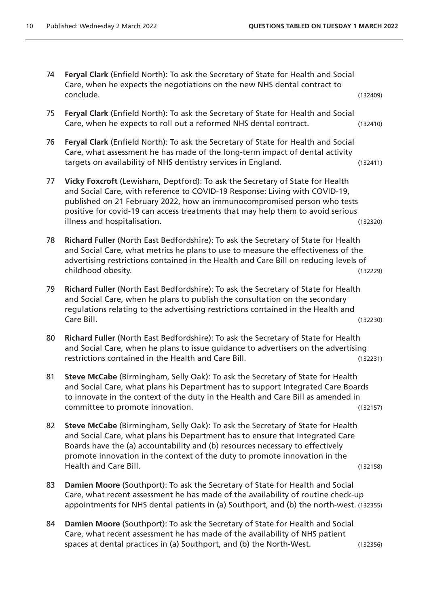74 **Feryal Clark** (Enfield North): To ask the Secretary of State for Health and Social Care, when he expects the negotiations on the new NHS dental contract to conclude. (132409) 75 **Feryal Clark** (Enfield North): To ask the Secretary of State for Health and Social Care, when he expects to roll out a reformed NHS dental contract. (132410) 76 **Feryal Clark** (Enfield North): To ask the Secretary of State for Health and Social Care, what assessment he has made of the long-term impact of dental activity targets on availability of NHS dentistry services in England. (132411) 77 **Vicky Foxcroft** (Lewisham, Deptford): To ask the Secretary of State for Health and Social Care, with reference to COVID-19 Response: Living with COVID-19, published on 21 February 2022, how an immunocompromised person who tests positive for covid-19 can access treatments that may help them to avoid serious illness and hospitalisation. (132320) 78 **Richard Fuller** (North East Bedfordshire): To ask the Secretary of State for Health and Social Care, what metrics he plans to use to measure the effectiveness of the advertising restrictions contained in the Health and Care Bill on reducing levels of childhood obesity. (132229) 79 **Richard Fuller** (North East Bedfordshire): To ask the Secretary of State for Health and Social Care, when he plans to publish the consultation on the secondary regulations relating to the advertising restrictions contained in the Health and Care Bill. (132230) 80 **Richard Fuller** (North East Bedfordshire): To ask the Secretary of State for Health and Social Care, when he plans to issue guidance to advertisers on the advertising restrictions contained in the Health and Care Bill. (132231) 81 **Steve McCabe** (Birmingham, Selly Oak): To ask the Secretary of State for Health and Social Care, what plans his Department has to support Integrated Care Boards to innovate in the context of the duty in the Health and Care Bill as amended in committee to promote innovation. (132157) 82 **Steve McCabe** (Birmingham, Selly Oak): To ask the Secretary of State for Health and Social Care, what plans his Department has to ensure that Integrated Care Boards have the (a) accountability and (b) resources necessary to effectively promote innovation in the context of the duty to promote innovation in the Health and Care Bill. (132158) 83 **Damien Moore** (Southport): To ask the Secretary of State for Health and Social Care, what recent assessment he has made of the availability of routine check-up appointments for NHS dental patients in (a) Southport, and (b) the north-west. (132355) 84 **Damien Moore** (Southport): To ask the Secretary of State for Health and Social Care, what recent assessment he has made of the availability of NHS patient spaces at dental practices in (a) Southport, and (b) the North-West. (132356)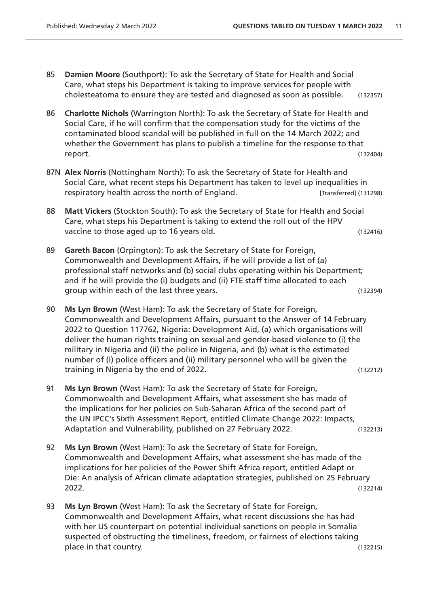- 85 **Damien Moore** (Southport): To ask the Secretary of State for Health and Social Care, what steps his Department is taking to improve services for people with cholesteatoma to ensure they are tested and diagnosed as soon as possible. (132357)
- 86 **Charlotte Nichols** (Warrington North): To ask the Secretary of State for Health and Social Care, if he will confirm that the compensation study for the victims of the contaminated blood scandal will be published in full on the 14 March 2022; and whether the Government has plans to publish a timeline for the response to that report. (132404)
- 87N **Alex Norris** (Nottingham North): To ask the Secretary of State for Health and Social Care, what recent steps his Department has taken to level up inequalities in respiratory health across the north of England. [Transferred] (131298)
- 88 **Matt Vickers** (Stockton South): To ask the Secretary of State for Health and Social Care, what steps his Department is taking to extend the roll out of the HPV vaccine to those aged up to 16 years old. The same state of those and the control of the control of the control of the control of the control of the control of the control of the control of the control of the control of th
- 89 **Gareth Bacon** (Orpington): To ask the Secretary of State for Foreign, Commonwealth and Development Affairs, if he will provide a list of (a) professional staff networks and (b) social clubs operating within his Department; and if he will provide the (i) budgets and (ii) FTE staff time allocated to each group within each of the last three years. (132394)
- 90 **Ms Lyn Brown** (West Ham): To ask the Secretary of State for Foreign, Commonwealth and Development Affairs, pursuant to the Answer of 14 February 2022 to Question 117762, Nigeria: Development Aid, (a) which organisations will deliver the human rights training on sexual and gender-based violence to (i) the military in Nigeria and (ii) the police in Nigeria, and (b) what is the estimated number of (i) police officers and (ii) military personnel who will be given the training in Nigeria by the end of 2022.
- 91 **Ms Lyn Brown** (West Ham): To ask the Secretary of State for Foreign, Commonwealth and Development Affairs, what assessment she has made of the implications for her policies on Sub-Saharan Africa of the second part of the UN IPCC's Sixth Assessment Report, entitled Climate Change 2022: Impacts, Adaptation and Vulnerability, published on 27 February 2022. (132213)
- 92 **Ms Lyn Brown** (West Ham): To ask the Secretary of State for Foreign, Commonwealth and Development Affairs, what assessment she has made of the implications for her policies of the Power Shift Africa report, entitled Adapt or Die: An analysis of African climate adaptation strategies, published on 25 February 2022. (132214)
- 93 **Ms Lyn Brown** (West Ham): To ask the Secretary of State for Foreign, Commonwealth and Development Affairs, what recent discussions she has had with her US counterpart on potential individual sanctions on people in Somalia suspected of obstructing the timeliness, freedom, or fairness of elections taking place in that country. (132215)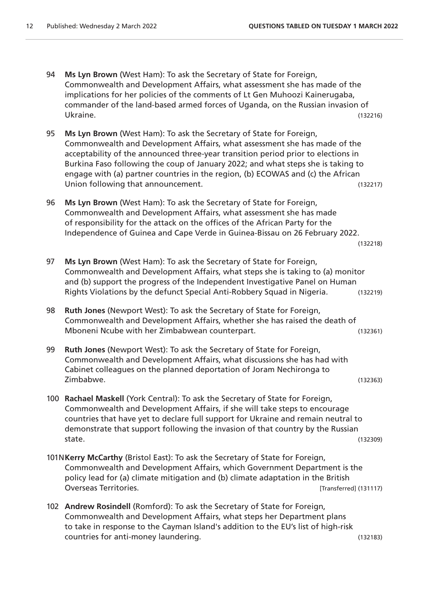(132218)

- 94 **Ms Lyn Brown** (West Ham): To ask the Secretary of State for Foreign, Commonwealth and Development Affairs, what assessment she has made of the implications for her policies of the comments of Lt Gen Muhoozi Kainerugaba, commander of the land-based armed forces of Uganda, on the Russian invasion of Ukraine. (132216)
- 95 **Ms Lyn Brown** (West Ham): To ask the Secretary of State for Foreign, Commonwealth and Development Affairs, what assessment she has made of the acceptability of the announced three-year transition period prior to elections in Burkina Faso following the coup of January 2022; and what steps she is taking to engage with (a) partner countries in the region, (b) ECOWAS and (c) the African Union following that announcement. The same state of the state (132217)
- 96 **Ms Lyn Brown** (West Ham): To ask the Secretary of State for Foreign, Commonwealth and Development Affairs, what assessment she has made of responsibility for the attack on the offices of the African Party for the Independence of Guinea and Cape Verde in Guinea-Bissau on 26 February 2022.
- 97 **Ms Lyn Brown** (West Ham): To ask the Secretary of State for Foreign, Commonwealth and Development Affairs, what steps she is taking to (a) monitor and (b) support the progress of the Independent Investigative Panel on Human Rights Violations by the defunct Special Anti-Robbery Squad in Nigeria. (132219)
- 98 **Ruth Jones** (Newport West): To ask the Secretary of State for Foreign, Commonwealth and Development Affairs, whether she has raised the death of Mboneni Ncube with her Zimbabwean counterpart. (132361)
- 99 **Ruth Jones** (Newport West): To ask the Secretary of State for Foreign, Commonwealth and Development Affairs, what discussions she has had with Cabinet colleagues on the planned deportation of Joram Nechironga to Zimbabwe. (132363)
- 100 **Rachael Maskell** (York Central): To ask the Secretary of State for Foreign, Commonwealth and Development Affairs, if she will take steps to encourage countries that have yet to declare full support for Ukraine and remain neutral to demonstrate that support following the invasion of that country by the Russian state. (132309)
- 101N**Kerry McCarthy** (Bristol East): To ask the Secretary of State for Foreign, Commonwealth and Development Affairs, which Government Department is the policy lead for (a) climate mitigation and (b) climate adaptation in the British Overseas Territories. **Example 20** Overseas Territories.
- 102 **Andrew Rosindell** (Romford): To ask the Secretary of State for Foreign, Commonwealth and Development Affairs, what steps her Department plans to take in response to the Cayman Island's addition to the EU's list of high-risk countries for anti-money laundering. (132183)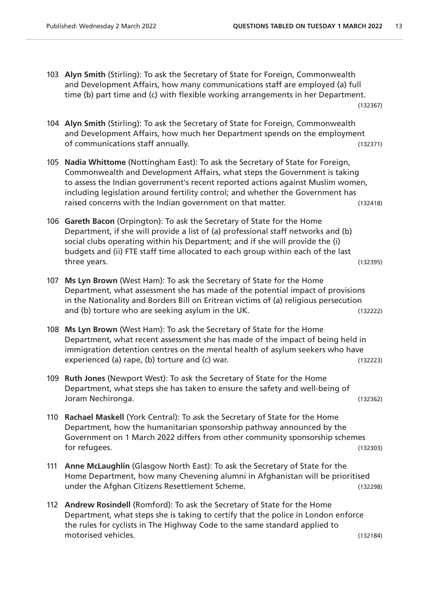- 103 **Alyn Smith** (Stirling): To ask the Secretary of State for Foreign, Commonwealth and Development Affairs, how many communications staff are employed (a) full time (b) part time and (c) with flexible working arrangements in her Department. (132367)
- 104 **Alyn Smith** (Stirling): To ask the Secretary of State for Foreign, Commonwealth and Development Affairs, how much her Department spends on the employment of communications staff annually. (132371)
- 105 **Nadia Whittome** (Nottingham East): To ask the Secretary of State for Foreign, Commonwealth and Development Affairs, what steps the Government is taking to assess the Indian government's recent reported actions against Muslim women, including legislation around fertility control; and whether the Government has raised concerns with the Indian government on that matter. (132418)
- 106 **Gareth Bacon** (Orpington): To ask the Secretary of State for the Home Department, if she will provide a list of (a) professional staff networks and (b) social clubs operating within his Department; and if she will provide the (i) budgets and (ii) FTE staff time allocated to each group within each of the last three years. (132395)
- 107 **Ms Lyn Brown** (West Ham): To ask the Secretary of State for the Home Department, what assessment she has made of the potential impact of provisions in the Nationality and Borders Bill on Eritrean victims of (a) religious persecution and (b) torture who are seeking asylum in the UK. (132222)
- 108 **Ms Lyn Brown** (West Ham): To ask the Secretary of State for the Home Department, what recent assessment she has made of the impact of being held in immigration detention centres on the mental health of asylum seekers who have experienced (a) rape, (b) torture and (c) war. (132223)
- 109 **Ruth Jones** (Newport West): To ask the Secretary of State for the Home Department, what steps she has taken to ensure the safety and well-being of Joram Nechironga. (132362)
- 110 **Rachael Maskell** (York Central): To ask the Secretary of State for the Home Department, how the humanitarian sponsorship pathway announced by the Government on 1 March 2022 differs from other community sponsorship schemes for refugees. (132303)
- 111 **Anne McLaughlin** (Glasgow North East): To ask the Secretary of State for the Home Department, how many Chevening alumni in Afghanistan will be prioritised under the Afghan Citizens Resettlement Scheme. (132298)
- 112 **Andrew Rosindell** (Romford): To ask the Secretary of State for the Home Department, what steps she is taking to certify that the police in London enforce the rules for cyclists in The Highway Code to the same standard applied to motorised vehicles. (132184)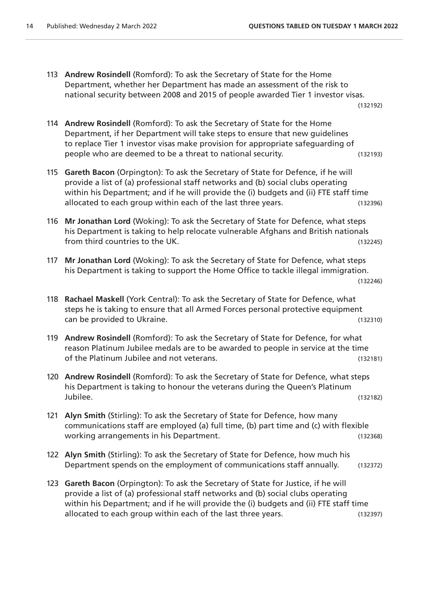113 **Andrew Rosindell** (Romford): To ask the Secretary of State for the Home Department, whether her Department has made an assessment of the risk to national security between 2008 and 2015 of people awarded Tier 1 investor visas.

(132192)

- 114 **Andrew Rosindell** (Romford): To ask the Secretary of State for the Home Department, if her Department will take steps to ensure that new guidelines to replace Tier 1 investor visas make provision for appropriate safeguarding of people who are deemed to be a threat to national security. (132193)
- 115 **Gareth Bacon** (Orpington): To ask the Secretary of State for Defence, if he will provide a list of (a) professional staff networks and (b) social clubs operating within his Department; and if he will provide the (i) budgets and (ii) FTE staff time allocated to each group within each of the last three years. (132396)
- 116 **Mr Jonathan Lord** (Woking): To ask the Secretary of State for Defence, what steps his Department is taking to help relocate vulnerable Afghans and British nationals from third countries to the UK. (132245)
- 117 **Mr Jonathan Lord** (Woking): To ask the Secretary of State for Defence, what steps his Department is taking to support the Home Office to tackle illegal immigration.
	- (132246)
- 118 **Rachael Maskell** (York Central): To ask the Secretary of State for Defence, what steps he is taking to ensure that all Armed Forces personal protective equipment can be provided to Ukraine. (132310)
- 119 **Andrew Rosindell** (Romford): To ask the Secretary of State for Defence, for what reason Platinum Jubilee medals are to be awarded to people in service at the time of the Platinum Jubilee and not veterans. (132181)
- 120 **Andrew Rosindell** (Romford): To ask the Secretary of State for Defence, what steps his Department is taking to honour the veterans during the Queen's Platinum Jubilee. (132182)
- 121 **Alyn Smith** (Stirling): To ask the Secretary of State for Defence, how many communications staff are employed (a) full time, (b) part time and (c) with flexible working arrangements in his Department. The control of the control of the control of the control of the control of the control of the control of the control of the control of the control of the control of the control of th
- 122 **Alyn Smith** (Stirling): To ask the Secretary of State for Defence, how much his Department spends on the employment of communications staff annually. (132372)
- 123 **Gareth Bacon** (Orpington): To ask the Secretary of State for Justice, if he will provide a list of (a) professional staff networks and (b) social clubs operating within his Department; and if he will provide the (i) budgets and (ii) FTE staff time allocated to each group within each of the last three years. (132397)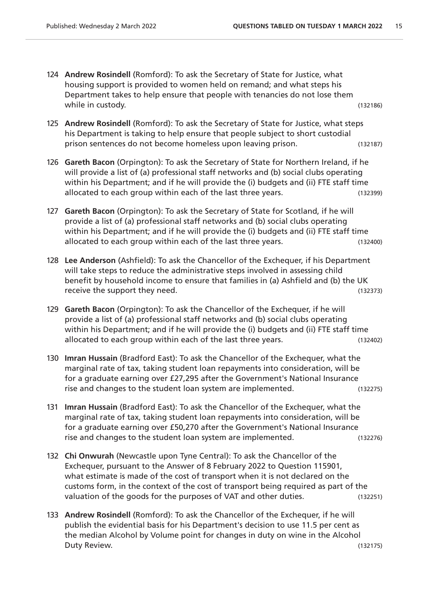- 124 **Andrew Rosindell** (Romford): To ask the Secretary of State for Justice, what housing support is provided to women held on remand; and what steps his Department takes to help ensure that people with tenancies do not lose them while in custody. (132186)
- 125 **Andrew Rosindell** (Romford): To ask the Secretary of State for Justice, what steps his Department is taking to help ensure that people subject to short custodial prison sentences do not become homeless upon leaving prison. (132187)
- 126 **Gareth Bacon** (Orpington): To ask the Secretary of State for Northern Ireland, if he will provide a list of (a) professional staff networks and (b) social clubs operating within his Department; and if he will provide the (i) budgets and (ii) FTE staff time allocated to each group within each of the last three years. (132399)
- 127 **Gareth Bacon** (Orpington): To ask the Secretary of State for Scotland, if he will provide a list of (a) professional staff networks and (b) social clubs operating within his Department; and if he will provide the (i) budgets and (ii) FTE staff time allocated to each group within each of the last three years. (132400)
- 128 **Lee Anderson** (Ashfield): To ask the Chancellor of the Exchequer, if his Department will take steps to reduce the administrative steps involved in assessing child benefit by household income to ensure that families in (a) Ashfield and (b) the UK receive the support they need. The support of the support of the support of the support of the support of the support of the support of the support of the support of the support of the support of the support of the support
- 129 **Gareth Bacon** (Orpington): To ask the Chancellor of the Exchequer, if he will provide a list of (a) professional staff networks and (b) social clubs operating within his Department; and if he will provide the (i) budgets and (ii) FTE staff time allocated to each group within each of the last three years. (132402)
- 130 **Imran Hussain** (Bradford East): To ask the Chancellor of the Exchequer, what the marginal rate of tax, taking student loan repayments into consideration, will be for a graduate earning over £27,295 after the Government's National Insurance rise and changes to the student loan system are implemented. (132275)
- 131 **Imran Hussain** (Bradford East): To ask the Chancellor of the Exchequer, what the marginal rate of tax, taking student loan repayments into consideration, will be for a graduate earning over £50,270 after the Government's National Insurance rise and changes to the student loan system are implemented. (132276)
- 132 **Chi Onwurah** (Newcastle upon Tyne Central): To ask the Chancellor of the Exchequer, pursuant to the Answer of 8 February 2022 to Question 115901, what estimate is made of the cost of transport when it is not declared on the customs form, in the context of the cost of transport being required as part of the valuation of the goods for the purposes of VAT and other duties. (132251)
- 133 **Andrew Rosindell** (Romford): To ask the Chancellor of the Exchequer, if he will publish the evidential basis for his Department's decision to use 11.5 per cent as the median Alcohol by Volume point for changes in duty on wine in the Alcohol Duty Review. (132175)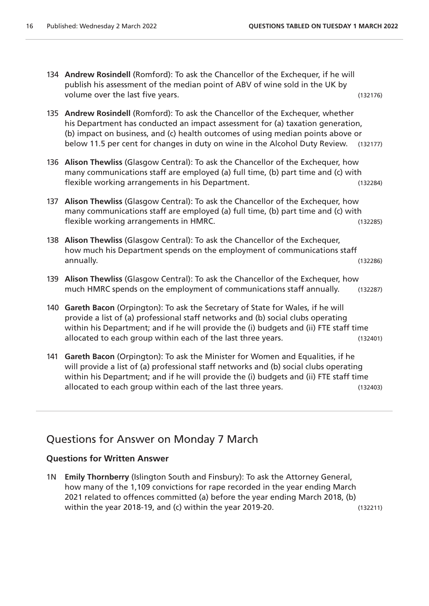- 134 **Andrew Rosindell** (Romford): To ask the Chancellor of the Exchequer, if he will publish his assessment of the median point of ABV of wine sold in the UK by volume over the last five years. (132176)
- 135 **Andrew Rosindell** (Romford): To ask the Chancellor of the Exchequer, whether his Department has conducted an impact assessment for (a) taxation generation, (b) impact on business, and (c) health outcomes of using median points above or below 11.5 per cent for changes in duty on wine in the Alcohol Duty Review. (132177)
- 136 **Alison Thewliss** (Glasgow Central): To ask the Chancellor of the Exchequer, how many communications staff are employed (a) full time, (b) part time and (c) with flexible working arrangements in his Department. (132284)
- 137 **Alison Thewliss** (Glasgow Central): To ask the Chancellor of the Exchequer, how many communications staff are employed (a) full time, (b) part time and (c) with flexible working arrangements in HMRC. (132285)
- 138 **Alison Thewliss** (Glasgow Central): To ask the Chancellor of the Exchequer, how much his Department spends on the employment of communications staff annually. (132286)
- 139 **Alison Thewliss** (Glasgow Central): To ask the Chancellor of the Exchequer, how much HMRC spends on the employment of communications staff annually. (132287)
- 140 **Gareth Bacon** (Orpington): To ask the Secretary of State for Wales, if he will provide a list of (a) professional staff networks and (b) social clubs operating within his Department; and if he will provide the (i) budgets and (ii) FTE staff time allocated to each group within each of the last three years. (132401)
- 141 **Gareth Bacon** (Orpington): To ask the Minister for Women and Equalities, if he will provide a list of (a) professional staff networks and (b) social clubs operating within his Department; and if he will provide the (i) budgets and (ii) FTE staff time allocated to each group within each of the last three years. (132403)

# Questions for Answer on Monday 7 March

#### **Questions for Written Answer**

1N **Emily Thornberry** (Islington South and Finsbury): To ask the Attorney General, how many of the 1,109 convictions for rape recorded in the year ending March 2021 related to offences committed (a) before the year ending March 2018, (b) within the year 2018-19, and (c) within the year 2019-20. (132211)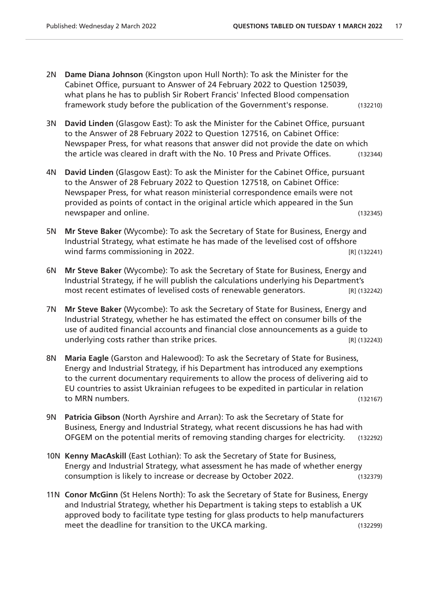- 2N **Dame Diana Johnson** (Kingston upon Hull North): To ask the Minister for the Cabinet Office, pursuant to Answer of 24 February 2022 to Question 125039, what plans he has to publish Sir Robert Francis' Infected Blood compensation framework study before the publication of the Government's response. (132210)
- 3N **David Linden** (Glasgow East): To ask the Minister for the Cabinet Office, pursuant to the Answer of 28 February 2022 to Question 127516, on Cabinet Office: Newspaper Press, for what reasons that answer did not provide the date on which the article was cleared in draft with the No. 10 Press and Private Offices. (132344)
- 4N **David Linden** (Glasgow East): To ask the Minister for the Cabinet Office, pursuant to the Answer of 28 February 2022 to Question 127518, on Cabinet Office: Newspaper Press, for what reason ministerial correspondence emails were not provided as points of contact in the original article which appeared in the Sun newspaper and online. (132345)
- 5N **Mr Steve Baker** (Wycombe): To ask the Secretary of State for Business, Energy and Industrial Strategy, what estimate he has made of the levelised cost of offshore wind farms commissioning in 2022.
- 6N **Mr Steve Baker** (Wycombe): To ask the Secretary of State for Business, Energy and Industrial Strategy, if he will publish the calculations underlying his Department's most recent estimates of levelised costs of renewable generators. [R] (132242)
- 7N **Mr Steve Baker** (Wycombe): To ask the Secretary of State for Business, Energy and Industrial Strategy, whether he has estimated the effect on consumer bills of the use of audited financial accounts and financial close announcements as a guide to underlying costs rather than strike prices. The strike control of the strike prices and the strike prices of the strike prices and the strike prices and the strike prices of the strike prices and the strike prices and the
- 8N **Maria Eagle** (Garston and Halewood): To ask the Secretary of State for Business, Energy and Industrial Strategy, if his Department has introduced any exemptions to the current documentary requirements to allow the process of delivering aid to EU countries to assist Ukrainian refugees to be expedited in particular in relation to MRN numbers. (132167)
- 9N **Patricia Gibson** (North Ayrshire and Arran): To ask the Secretary of State for Business, Energy and Industrial Strategy, what recent discussions he has had with OFGEM on the potential merits of removing standing charges for electricity. (132292)
- 10N **Kenny MacAskill** (East Lothian): To ask the Secretary of State for Business, Energy and Industrial Strategy, what assessment he has made of whether energy consumption is likely to increase or decrease by October 2022. (132379)
- 11N **Conor McGinn** (St Helens North): To ask the Secretary of State for Business, Energy and Industrial Strategy, whether his Department is taking steps to establish a UK approved body to facilitate type testing for glass products to help manufacturers meet the deadline for transition to the UKCA marking. (132299)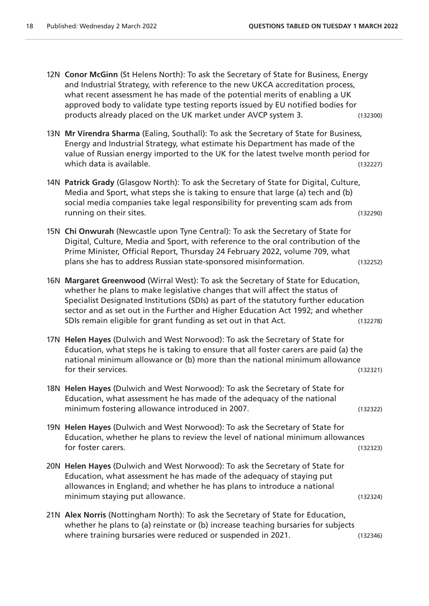- 12N **Conor McGinn** (St Helens North): To ask the Secretary of State for Business, Energy and Industrial Strategy, with reference to the new UKCA accreditation process, what recent assessment he has made of the potential merits of enabling a UK approved body to validate type testing reports issued by EU notified bodies for products already placed on the UK market under AVCP system 3. (132300)
- 13N **Mr Virendra Sharma** (Ealing, Southall): To ask the Secretary of State for Business, Energy and Industrial Strategy, what estimate his Department has made of the value of Russian energy imported to the UK for the latest twelve month period for which data is available. (132227)
- 14N **Patrick Grady** (Glasgow North): To ask the Secretary of State for Digital, Culture, Media and Sport, what steps she is taking to ensure that large (a) tech and (b) social media companies take legal responsibility for preventing scam ads from running on their sites. (132290)
- 15N **Chi Onwurah** (Newcastle upon Tyne Central): To ask the Secretary of State for Digital, Culture, Media and Sport, with reference to the oral contribution of the Prime Minister, Official Report, Thursday 24 February 2022, volume 709, what plans she has to address Russian state-sponsored misinformation. (132252)
- 16N **Margaret Greenwood** (Wirral West): To ask the Secretary of State for Education, whether he plans to make legislative changes that will affect the status of Specialist Designated Institutions (SDIs) as part of the statutory further education sector and as set out in the Further and Higher Education Act 1992; and whether SDIs remain eligible for grant funding as set out in that Act. (132278)
- 17N **Helen Hayes** (Dulwich and West Norwood): To ask the Secretary of State for Education, what steps he is taking to ensure that all foster carers are paid (a) the national minimum allowance or (b) more than the national minimum allowance for their services. (132321)
- 18N **Helen Hayes** (Dulwich and West Norwood): To ask the Secretary of State for Education, what assessment he has made of the adequacy of the national minimum fostering allowance introduced in 2007.
- 19N **Helen Hayes** (Dulwich and West Norwood): To ask the Secretary of State for Education, whether he plans to review the level of national minimum allowances for foster carers. (132323)
- 20N **Helen Hayes** (Dulwich and West Norwood): To ask the Secretary of State for Education, what assessment he has made of the adequacy of staying put allowances in England; and whether he has plans to introduce a national minimum staying put allowance. (132324)
- 21N **Alex Norris** (Nottingham North): To ask the Secretary of State for Education, whether he plans to (a) reinstate or (b) increase teaching bursaries for subjects where training bursaries were reduced or suspended in 2021. (132346)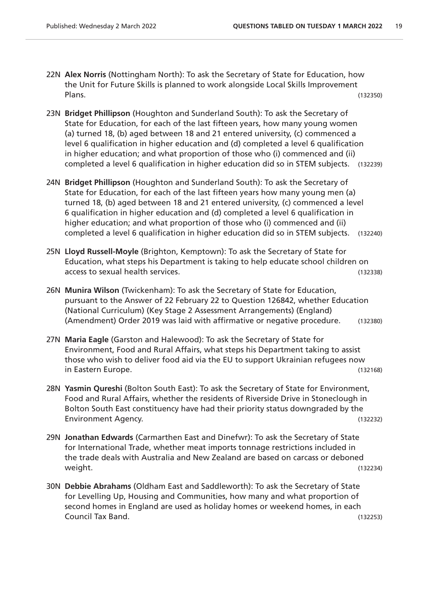- 22N **Alex Norris** (Nottingham North): To ask the Secretary of State for Education, how the Unit for Future Skills is planned to work alongside Local Skills Improvement Plans. (132350)
- 23N **Bridget Phillipson** (Houghton and Sunderland South): To ask the Secretary of State for Education, for each of the last fifteen years, how many young women (a) turned 18, (b) aged between 18 and 21 entered university, (c) commenced a level 6 qualification in higher education and (d) completed a level 6 qualification in higher education; and what proportion of those who (i) commenced and (ii) completed a level 6 qualification in higher education did so in STEM subjects. (132239)
- 24N **Bridget Phillipson** (Houghton and Sunderland South): To ask the Secretary of State for Education, for each of the last fifteen years how many young men (a) turned 18, (b) aged between 18 and 21 entered university, (c) commenced a level 6 qualification in higher education and (d) completed a level 6 qualification in higher education; and what proportion of those who (i) commenced and (ii) completed a level 6 qualification in higher education did so in STEM subjects. (132240)
- 25N **Lloyd Russell-Moyle** (Brighton, Kemptown): To ask the Secretary of State for Education, what steps his Department is taking to help educate school children on access to sexual health services. (132338)
- 26N **Munira Wilson** (Twickenham): To ask the Secretary of State for Education, pursuant to the Answer of 22 February 22 to Question 126842, whether Education (National Curriculum) (Key Stage 2 Assessment Arrangements) (England) (Amendment) Order 2019 was laid with affirmative or negative procedure. (132380)
- 27N **Maria Eagle** (Garston and Halewood): To ask the Secretary of State for Environment, Food and Rural Affairs, what steps his Department taking to assist those who wish to deliver food aid via the EU to support Ukrainian refugees now in Eastern Europe. (132168)
- 28N **Yasmin Qureshi** (Bolton South East): To ask the Secretary of State for Environment, Food and Rural Affairs, whether the residents of Riverside Drive in Stoneclough in Bolton South East constituency have had their priority status downgraded by the Environment Agency. (132232)
- 29N **Jonathan Edwards** (Carmarthen East and Dinefwr): To ask the Secretary of State for International Trade, whether meat imports tonnage restrictions included in the trade deals with Australia and New Zealand are based on carcass or deboned weight. (132234)
- 30N **Debbie Abrahams** (Oldham East and Saddleworth): To ask the Secretary of State for Levelling Up, Housing and Communities, how many and what proportion of second homes in England are used as holiday homes or weekend homes, in each Council Tax Band. (132253)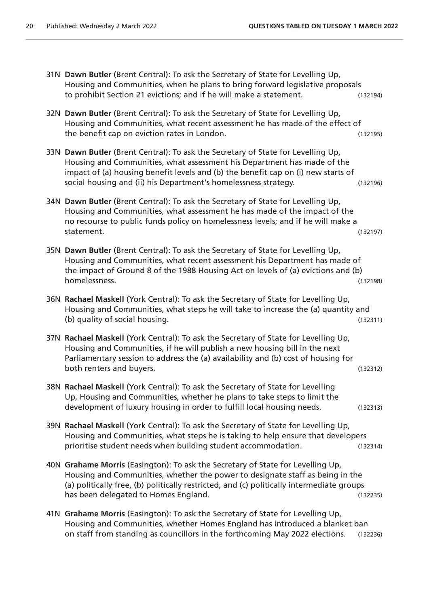| 31N Dawn Butler (Brent Central): To ask the Secretary of State for Levelling Up,<br>Housing and Communities, when he plans to bring forward legislative proposals<br>to prohibit Section 21 evictions; and if he will make a statement.                                                                             | (132194) |
|---------------------------------------------------------------------------------------------------------------------------------------------------------------------------------------------------------------------------------------------------------------------------------------------------------------------|----------|
| 32N Dawn Butler (Brent Central): To ask the Secretary of State for Levelling Up,<br>Housing and Communities, what recent assessment he has made of the effect of<br>the benefit cap on eviction rates in London.                                                                                                    | (132195) |
| 33N Dawn Butler (Brent Central): To ask the Secretary of State for Levelling Up,<br>Housing and Communities, what assessment his Department has made of the<br>impact of (a) housing benefit levels and (b) the benefit cap on (i) new starts of<br>social housing and (ii) his Department's homelessness strategy. | (132196) |
| 34N Dawn Butler (Brent Central): To ask the Secretary of State for Levelling Up,<br>Housing and Communities, what assessment he has made of the impact of the<br>no recourse to public funds policy on homelessness levels; and if he will make a<br>statement.                                                     | (132197) |
| 35N Dawn Butler (Brent Central): To ask the Secretary of State for Levelling Up,<br>Housing and Communities, what recent assessment his Department has made of<br>the impact of Ground 8 of the 1988 Housing Act on levels of (a) evictions and (b)<br>homelessness.                                                | (132198) |
| 36N Rachael Maskell (York Central): To ask the Secretary of State for Levelling Up,<br>Housing and Communities, what steps he will take to increase the (a) quantity and<br>(b) quality of social housing.                                                                                                          | (132311) |
| 37N Rachael Maskell (York Central): To ask the Secretary of State for Levelling Up,<br>Housing and Communities, if he will publish a new housing bill in the next<br>Parliamentary session to address the (a) availability and (b) cost of housing for<br>both renters and buyers.                                  | (132312) |
| 38N Rachael Maskell (York Central): To ask the Secretary of State for Levelling<br>Up, Housing and Communities, whether he plans to take steps to limit the<br>development of luxury housing in order to fulfill local housing needs.                                                                               | (132313) |
| 39N Rachael Maskell (York Central): To ask the Secretary of State for Levelling Up,<br>Housing and Communities, what steps he is taking to help ensure that developers<br>prioritise student needs when building student accommodation.                                                                             | (132314) |
| 40N Grahame Morris (Easington): To ask the Secretary of State for Levelling Up,<br>Housing and Communities, whether the power to designate staff as being in the<br>(a) politically free, (b) politically restricted, and (c) politically intermediate groups<br>has been delegated to Homes England.               | (132235) |
| 41N Grahame Morris (Easington): To ask the Secretary of State for Levelling Up,<br>Housing and Communities, whether Homes England has introduced a blanket ban<br>on staff from standing as councillors in the forthcoming May 2022 elections.                                                                      | (132236) |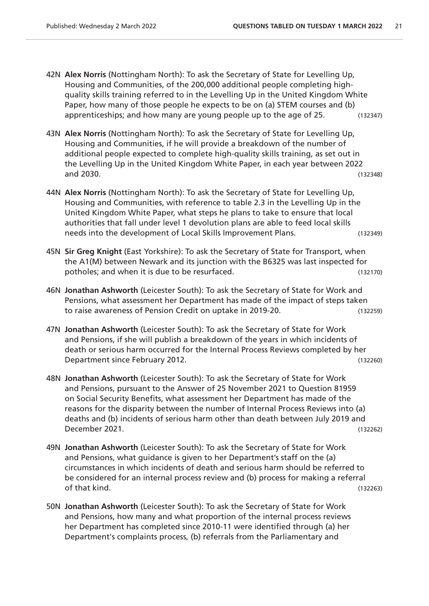- 42N **Alex Norris** (Nottingham North): To ask the Secretary of State for Levelling Up, Housing and Communities, of the 200,000 additional people completing highquality skills training referred to in the Levelling Up in the United Kingdom White Paper, how many of those people he expects to be on (a) STEM courses and (b) apprenticeships; and how many are young people up to the age of 25. (132347)
- 43N **Alex Norris** (Nottingham North): To ask the Secretary of State for Levelling Up, Housing and Communities, if he will provide a breakdown of the number of additional people expected to complete high-quality skills training, as set out in the Levelling Up in the United Kingdom White Paper, in each year between 2022 and 2030. (132348)
- 44N **Alex Norris** (Nottingham North): To ask the Secretary of State for Levelling Up, Housing and Communities, with reference to table 2.3 in the Levelling Up in the United Kingdom White Paper, what steps he plans to take to ensure that local authorities that fall under level 1 devolution plans are able to feed local skills needs into the development of Local Skills Improvement Plans. (132349)
- 45N **Sir Greg Knight** (East Yorkshire): To ask the Secretary of State for Transport, when the A1(M) between Newark and its junction with the B6325 was last inspected for potholes; and when it is due to be resurfaced. (132170)
- 46N **Jonathan Ashworth** (Leicester South): To ask the Secretary of State for Work and Pensions, what assessment her Department has made of the impact of steps taken to raise awareness of Pension Credit on uptake in 2019-20. (132259)
- 47N **Jonathan Ashworth** (Leicester South): To ask the Secretary of State for Work and Pensions, if she will publish a breakdown of the years in which incidents of death or serious harm occurred for the Internal Process Reviews completed by her Department since February 2012. Contract the contract of the contract of the contract of the contract of the contract of the contract of the contract of the contract of the contract of the contract of the contract of the c
- 48N **Jonathan Ashworth** (Leicester South): To ask the Secretary of State for Work and Pensions, pursuant to the Answer of 25 November 2021 to Question 81959 on Social Security Benefits, what assessment her Department has made of the reasons for the disparity between the number of Internal Process Reviews into (a) deaths and (b) incidents of serious harm other than death between July 2019 and December 2021. (132262)
- 49N **Jonathan Ashworth** (Leicester South): To ask the Secretary of State for Work and Pensions, what guidance is given to her Department's staff on the (a) circumstances in which incidents of death and serious harm should be referred to be considered for an internal process review and (b) process for making a referral of that kind. (132263)
- 50N **Jonathan Ashworth** (Leicester South): To ask the Secretary of State for Work and Pensions, how many and what proportion of the internal process reviews her Department has completed since 2010-11 were identified through (a) her Department's complaints process, (b) referrals from the Parliamentary and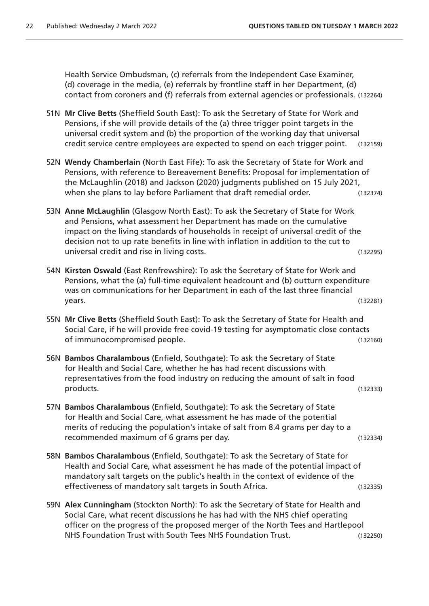Health Service Ombudsman, (c) referrals from the Independent Case Examiner, (d) coverage in the media, (e) referrals by frontline staff in her Department, (d) contact from coroners and (f) referrals from external agencies or professionals. (132264)

- 51N **Mr Clive Betts** (Sheffield South East): To ask the Secretary of State for Work and Pensions, if she will provide details of the (a) three trigger point targets in the universal credit system and (b) the proportion of the working day that universal credit service centre employees are expected to spend on each trigger point. (132159)
- 52N **Wendy Chamberlain** (North East Fife): To ask the Secretary of State for Work and Pensions, with reference to Bereavement Benefits: Proposal for implementation of the McLaughlin (2018) and Jackson (2020) judgments published on 15 July 2021, when she plans to lay before Parliament that draft remedial order. (132374)
- 53N **Anne McLaughlin** (Glasgow North East): To ask the Secretary of State for Work and Pensions, what assessment her Department has made on the cumulative impact on the living standards of households in receipt of universal credit of the decision not to up rate benefits in line with inflation in addition to the cut to universal credit and rise in living costs. (132295)
- 54N **Kirsten Oswald** (East Renfrewshire): To ask the Secretary of State for Work and Pensions, what the (a) full-time equivalent headcount and (b) outturn expenditure was on communications for her Department in each of the last three financial years. (132281)
- 55N **Mr Clive Betts** (Sheffield South East): To ask the Secretary of State for Health and Social Care, if he will provide free covid-19 testing for asymptomatic close contacts of immunocompromised people. (132160)
- 56N **Bambos Charalambous** (Enfield, Southgate): To ask the Secretary of State for Health and Social Care, whether he has had recent discussions with representatives from the food industry on reducing the amount of salt in food products. (132333)
- 57N **Bambos Charalambous** (Enfield, Southgate): To ask the Secretary of State for Health and Social Care, what assessment he has made of the potential merits of reducing the population's intake of salt from 8.4 grams per day to a recommended maximum of 6 grams per day. (132334)
- 58N **Bambos Charalambous** (Enfield, Southgate): To ask the Secretary of State for Health and Social Care, what assessment he has made of the potential impact of mandatory salt targets on the public's health in the context of evidence of the effectiveness of mandatory salt targets in South Africa. (132335)
- 59N **Alex Cunningham** (Stockton North): To ask the Secretary of State for Health and Social Care, what recent discussions he has had with the NHS chief operating officer on the progress of the proposed merger of the North Tees and Hartlepool NHS Foundation Trust with South Tees NHS Foundation Trust. (132250)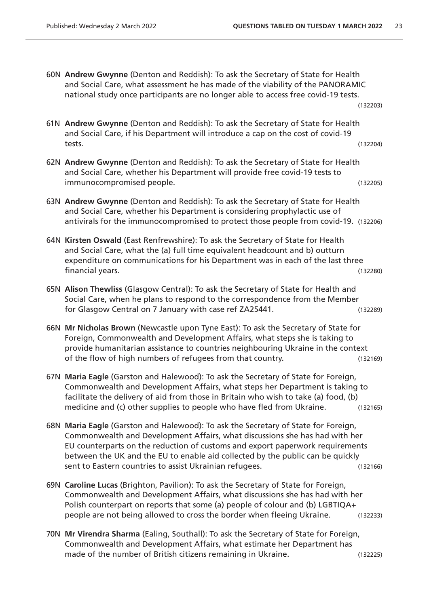60N **Andrew Gwynne** (Denton and Reddish): To ask the Secretary of State for Health and Social Care, what assessment he has made of the viability of the PANORAMIC national study once participants are no longer able to access free covid-19 tests. (132203)

| 61N Andrew Gwynne (Denton and Reddish): To ask the Secretary of State for Health |          |
|----------------------------------------------------------------------------------|----------|
| and Social Care, if his Department will introduce a cap on the cost of covid-19  |          |
| tests.                                                                           | (132204) |

- 62N **Andrew Gwynne** (Denton and Reddish): To ask the Secretary of State for Health and Social Care, whether his Department will provide free covid-19 tests to immunocompromised people. (132205)
- 63N **Andrew Gwynne** (Denton and Reddish): To ask the Secretary of State for Health and Social Care, whether his Department is considering prophylactic use of antivirals for the immunocompromised to protect those people from covid-19. (132206)
- 64N **Kirsten Oswald** (East Renfrewshire): To ask the Secretary of State for Health and Social Care, what the (a) full time equivalent headcount and b) outturn expenditure on communications for his Department was in each of the last three financial years. (132280)
- 65N **Alison Thewliss** (Glasgow Central): To ask the Secretary of State for Health and Social Care, when he plans to respond to the correspondence from the Member for Glasgow Central on 7 January with case ref ZA25441. (132289)
- 66N **Mr Nicholas Brown** (Newcastle upon Tyne East): To ask the Secretary of State for Foreign, Commonwealth and Development Affairs, what steps she is taking to provide humanitarian assistance to countries neighbouring Ukraine in the context of the flow of high numbers of refugees from that country. (132169)
- 67N **Maria Eagle** (Garston and Halewood): To ask the Secretary of State for Foreign, Commonwealth and Development Affairs, what steps her Department is taking to facilitate the delivery of aid from those in Britain who wish to take (a) food, (b) medicine and (c) other supplies to people who have fled from Ukraine. (132165)
- 68N **Maria Eagle** (Garston and Halewood): To ask the Secretary of State for Foreign, Commonwealth and Development Affairs, what discussions she has had with her EU counterparts on the reduction of customs and export paperwork requirements between the UK and the EU to enable aid collected by the public can be quickly sent to Eastern countries to assist Ukrainian refugees. (132166)
- 69N **Caroline Lucas** (Brighton, Pavilion): To ask the Secretary of State for Foreign, Commonwealth and Development Affairs, what discussions she has had with her Polish counterpart on reports that some (a) people of colour and (b) LGBTIQA+ people are not being allowed to cross the border when fleeing Ukraine. (132233)
- 70N **Mr Virendra Sharma** (Ealing, Southall): To ask the Secretary of State for Foreign, Commonwealth and Development Affairs, what estimate her Department has made of the number of British citizens remaining in Ukraine. (132225)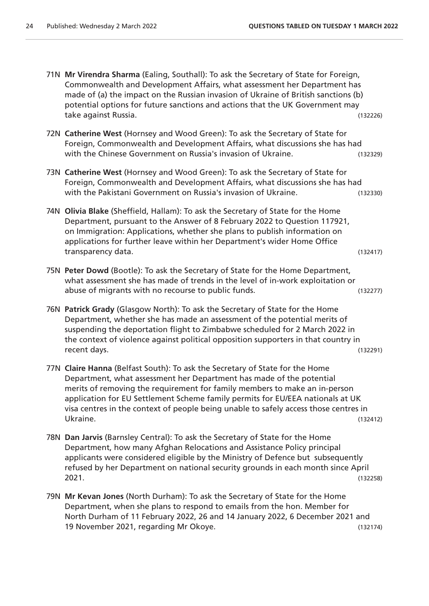- 71N **Mr Virendra Sharma** (Ealing, Southall): To ask the Secretary of State for Foreign, Commonwealth and Development Affairs, what assessment her Department has made of (a) the impact on the Russian invasion of Ukraine of British sanctions (b) potential options for future sanctions and actions that the UK Government may take against Russia. (132226) 72N **Catherine West** (Hornsey and Wood Green): To ask the Secretary of State for Foreign, Commonwealth and Development Affairs, what discussions she has had with the Chinese Government on Russia's invasion of Ukraine. (132329) 73N **Catherine West** (Hornsey and Wood Green): To ask the Secretary of State for Foreign, Commonwealth and Development Affairs, what discussions she has had with the Pakistani Government on Russia's invasion of Ukraine. (132330) 74N **Olivia Blake** (Sheffield, Hallam): To ask the Secretary of State for the Home Department, pursuant to the Answer of 8 February 2022 to Question 117921, on Immigration: Applications, whether she plans to publish information on applications for further leave within her Department's wider Home Office transparency data. (132417) 75N **Peter Dowd** (Bootle): To ask the Secretary of State for the Home Department, what assessment she has made of trends in the level of in-work exploitation or abuse of migrants with no recourse to public funds. (132277) 76N **Patrick Grady** (Glasgow North): To ask the Secretary of State for the Home Department, whether she has made an assessment of the potential merits of suspending the deportation flight to Zimbabwe scheduled for 2 March 2022 in the context of violence against political opposition supporters in that country in recent days. (132291) 77N **Claire Hanna** (Belfast South): To ask the Secretary of State for the Home
	- Department, what assessment her Department has made of the potential merits of removing the requirement for family members to make an in-person application for EU Settlement Scheme family permits for EU/EEA nationals at UK visa centres in the context of people being unable to safely access those centres in Ukraine. (132412)
- 78N **Dan Jarvis** (Barnsley Central): To ask the Secretary of State for the Home Department, how many Afghan Relocations and Assistance Policy principal applicants were considered eligible by the Ministry of Defence but subsequently refused by her Department on national security grounds in each month since April 2021. (132258)
- 79N **Mr Kevan Jones** (North Durham): To ask the Secretary of State for the Home Department, when she plans to respond to emails from the hon. Member for North Durham of 11 February 2022, 26 and 14 January 2022, 6 December 2021 and 19 November 2021, regarding Mr Okoye. (132174)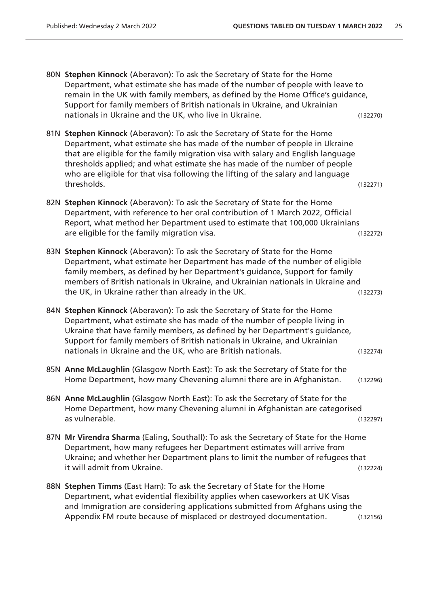- 80N **Stephen Kinnock** (Aberavon): To ask the Secretary of State for the Home Department, what estimate she has made of the number of people with leave to remain in the UK with family members, as defined by the Home Office's guidance, Support for family members of British nationals in Ukraine, and Ukrainian nationals in Ukraine and the UK, who live in Ukraine. (132270)
- 81N **Stephen Kinnock** (Aberavon): To ask the Secretary of State for the Home Department, what estimate she has made of the number of people in Ukraine that are eligible for the family migration visa with salary and English language thresholds applied; and what estimate she has made of the number of people who are eligible for that visa following the lifting of the salary and language thresholds. (132271)
- 82N **Stephen Kinnock** (Aberavon): To ask the Secretary of State for the Home Department, with reference to her oral contribution of 1 March 2022, Official Report, what method her Department used to estimate that 100,000 Ukrainians are eligible for the family migration visa. (132272)
- 83N **Stephen Kinnock** (Aberavon): To ask the Secretary of State for the Home Department, what estimate her Department has made of the number of eligible family members, as defined by her Department's guidance, Support for family members of British nationals in Ukraine, and Ukrainian nationals in Ukraine and the UK, in Ukraine rather than already in the UK. (132273)
- 84N **Stephen Kinnock** (Aberavon): To ask the Secretary of State for the Home Department, what estimate she has made of the number of people living in Ukraine that have family members, as defined by her Department's guidance, Support for family members of British nationals in Ukraine, and Ukrainian nationals in Ukraine and the UK, who are British nationals. (132274)
- 85N **Anne McLaughlin** (Glasgow North East): To ask the Secretary of State for the Home Department, how many Chevening alumni there are in Afghanistan. (132296)
- 86N **Anne McLaughlin** (Glasgow North East): To ask the Secretary of State for the Home Department, how many Chevening alumni in Afghanistan are categorised as vulnerable. (132297)
- 87N **Mr Virendra Sharma** (Ealing, Southall): To ask the Secretary of State for the Home Department, how many refugees her Department estimates will arrive from Ukraine; and whether her Department plans to limit the number of refugees that it will admit from Ukraine. (132224)
- 88N **Stephen Timms** (East Ham): To ask the Secretary of State for the Home Department, what evidential flexibility applies when caseworkers at UK Visas and Immigration are considering applications submitted from Afghans using the Appendix FM route because of misplaced or destroyed documentation. (132156)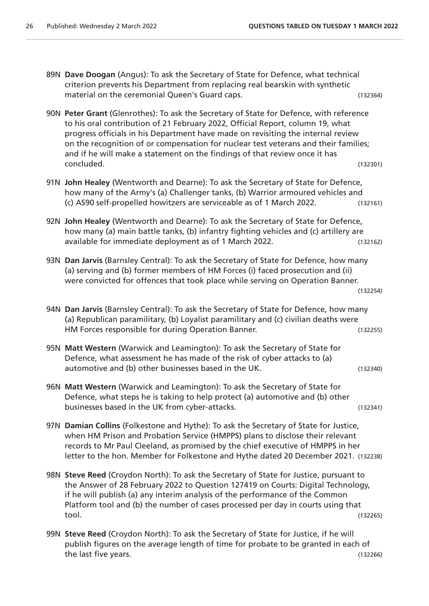- 89N **Dave Doogan** (Angus): To ask the Secretary of State for Defence, what technical criterion prevents his Department from replacing real bearskin with synthetic material on the ceremonial Queen's Guard caps. The control of the capacity of the capacity of the control of the control of the control of the control of the control of the control of the control of the control of the cont
- 90N **Peter Grant** (Glenrothes): To ask the Secretary of State for Defence, with reference to his oral contribution of 21 February 2022, Official Report, column 19, what progress officials in his Department have made on revisiting the internal review on the recognition of or compensation for nuclear test veterans and their families; and if he will make a statement on the findings of that review once it has concluded. (132301)
- 91N **John Healey** (Wentworth and Dearne): To ask the Secretary of State for Defence, how many of the Army's (a) Challenger tanks, (b) Warrior armoured vehicles and (c) AS90 self-propelled howitzers are serviceable as of 1 March 2022. (132161)
- 92N **John Healey** (Wentworth and Dearne): To ask the Secretary of State for Defence, how many (a) main battle tanks, (b) infantry fighting vehicles and (c) artillery are available for immediate deployment as of 1 March 2022. (132162)
- 93N **Dan Jarvis** (Barnsley Central): To ask the Secretary of State for Defence, how many (a) serving and (b) former members of HM Forces (i) faced prosecution and (ii) were convicted for offences that took place while serving on Operation Banner.

(132254)

- 94N **Dan Jarvis** (Barnsley Central): To ask the Secretary of State for Defence, how many (a) Republican paramilitary, (b) Loyalist paramilitary and (c) civilian deaths were HM Forces responsible for during Operation Banner. (132255)
- 95N **Matt Western** (Warwick and Leamington): To ask the Secretary of State for Defence, what assessment he has made of the risk of cyber attacks to (a) automotive and (b) other businesses based in the UK. (132340)
- 96N **Matt Western** (Warwick and Leamington): To ask the Secretary of State for Defence, what steps he is taking to help protect (a) automotive and (b) other businesses based in the UK from cyber-attacks. (132341)
- 97N **Damian Collins** (Folkestone and Hythe): To ask the Secretary of State for Justice, when HM Prison and Probation Service (HMPPS) plans to disclose their relevant records to Mr Paul Cleeland, as promised by the chief executive of HMPPS in her letter to the hon. Member for Folkestone and Hythe dated 20 December 2021. (132238)
- 98N **Steve Reed** (Croydon North): To ask the Secretary of State for Justice, pursuant to the Answer of 28 February 2022 to Question 127419 on Courts: Digital Technology, if he will publish (a) any interim analysis of the performance of the Common Platform tool and (b) the number of cases processed per day in courts using that tool. (132265)
- 99N **Steve Reed** (Croydon North): To ask the Secretary of State for Justice, if he will publish figures on the average length of time for probate to be granted in each of the last five years. (132266)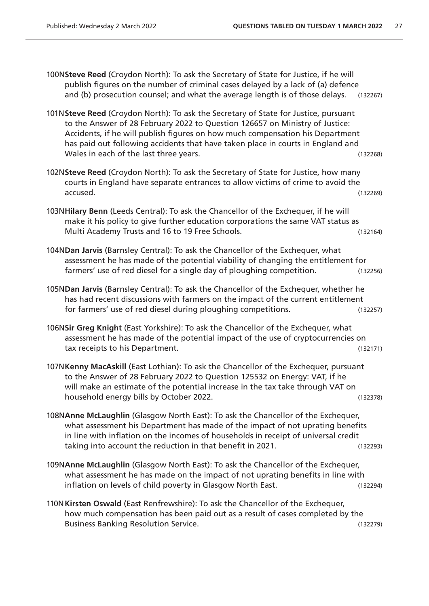100N**Steve Reed** (Croydon North): To ask the Secretary of State for Justice, if he will publish figures on the number of criminal cases delayed by a lack of (a) defence and (b) prosecution counsel; and what the average length is of those delays. (132267)

- 101N**Steve Reed** (Croydon North): To ask the Secretary of State for Justice, pursuant to the Answer of 28 February 2022 to Question 126657 on Ministry of Justice: Accidents, if he will publish figures on how much compensation his Department has paid out following accidents that have taken place in courts in England and Wales in each of the last three years. (132268)
- 102N**Steve Reed** (Croydon North): To ask the Secretary of State for Justice, how many courts in England have separate entrances to allow victims of crime to avoid the accused. (132269)
- 103N**Hilary Benn** (Leeds Central): To ask the Chancellor of the Exchequer, if he will make it his policy to give further education corporations the same VAT status as Multi Academy Trusts and 16 to 19 Free Schools. (132164)
- 104N**Dan Jarvis** (Barnsley Central): To ask the Chancellor of the Exchequer, what assessment he has made of the potential viability of changing the entitlement for farmers' use of red diesel for a single day of ploughing competition. (132256)
- 105N**Dan Jarvis** (Barnsley Central): To ask the Chancellor of the Exchequer, whether he has had recent discussions with farmers on the impact of the current entitlement for farmers' use of red diesel during ploughing competitions. (132257)
- 106N**Sir Greg Knight** (East Yorkshire): To ask the Chancellor of the Exchequer, what assessment he has made of the potential impact of the use of cryptocurrencies on tax receipts to his Department. (132171)
- 107N**Kenny MacAskill** (East Lothian): To ask the Chancellor of the Exchequer, pursuant to the Answer of 28 February 2022 to Question 125532 on Energy: VAT, if he will make an estimate of the potential increase in the tax take through VAT on household energy bills by October 2022. (132378)
- 108N**Anne McLaughlin** (Glasgow North East): To ask the Chancellor of the Exchequer, what assessment his Department has made of the impact of not uprating benefits in line with inflation on the incomes of households in receipt of universal credit taking into account the reduction in that benefit in 2021. (132293)
- 109N**Anne McLaughlin** (Glasgow North East): To ask the Chancellor of the Exchequer, what assessment he has made on the impact of not uprating benefits in line with inflation on levels of child poverty in Glasgow North East. (132294)
- 110N**Kirsten Oswald** (East Renfrewshire): To ask the Chancellor of the Exchequer, how much compensation has been paid out as a result of cases completed by the Business Banking Resolution Service. (132279)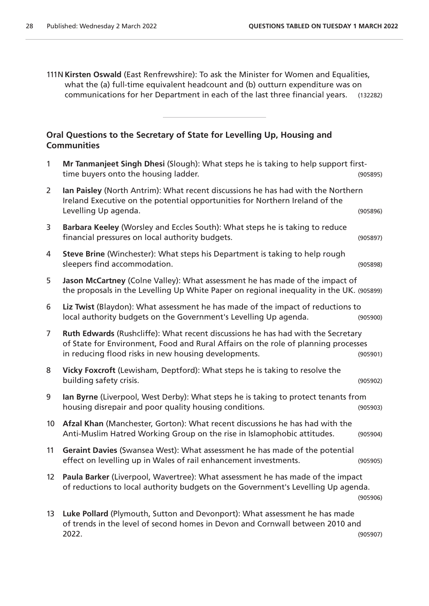111N **Kirsten Oswald** (East Renfrewshire): To ask the Minister for Women and Equalities, what the (a) full-time equivalent headcount and (b) outturn expenditure was on communications for her Department in each of the last three financial years. (132282)

#### **Oral Questions to the Secretary of State for Levelling Up, Housing and Communities**

| $\mathbf{1}$      | Mr Tanmanjeet Singh Dhesi (Slough): What steps he is taking to help support first-<br>time buyers onto the housing ladder.                                                                                                     | (905895) |
|-------------------|--------------------------------------------------------------------------------------------------------------------------------------------------------------------------------------------------------------------------------|----------|
| $\overline{2}$    | Ian Paisley (North Antrim): What recent discussions he has had with the Northern<br>Ireland Executive on the potential opportunities for Northern Ireland of the<br>Levelling Up agenda.                                       | (905896) |
| 3                 | Barbara Keeley (Worsley and Eccles South): What steps he is taking to reduce<br>financial pressures on local authority budgets.                                                                                                | (905897) |
| 4                 | Steve Brine (Winchester): What steps his Department is taking to help rough<br>sleepers find accommodation.                                                                                                                    | (905898) |
| 5                 | Jason McCartney (Colne Valley): What assessment he has made of the impact of<br>the proposals in the Levelling Up White Paper on regional inequality in the UK. (905899)                                                       |          |
| 6                 | Liz Twist (Blaydon): What assessment he has made of the impact of reductions to<br>local authority budgets on the Government's Levelling Up agenda.                                                                            | (905900) |
| $\overline{7}$    | Ruth Edwards (Rushcliffe): What recent discussions he has had with the Secretary<br>of State for Environment, Food and Rural Affairs on the role of planning processes<br>in reducing flood risks in new housing developments. | (905901) |
| 8                 | Vicky Foxcroft (Lewisham, Deptford): What steps he is taking to resolve the<br>building safety crisis.                                                                                                                         | (905902) |
| 9                 | lan Byrne (Liverpool, West Derby): What steps he is taking to protect tenants from<br>housing disrepair and poor quality housing conditions.                                                                                   | (905903) |
| 10 <sup>°</sup>   | Afzal Khan (Manchester, Gorton): What recent discussions he has had with the<br>Anti-Muslim Hatred Working Group on the rise in Islamophobic attitudes.                                                                        | (905904) |
| 11                | Geraint Davies (Swansea West): What assessment he has made of the potential<br>effect on levelling up in Wales of rail enhancement investments.                                                                                | (905905) |
| $12 \overline{ }$ | Paula Barker (Liverpool, Wavertree): What assessment he has made of the impact<br>of reductions to local authority budgets on the Government's Levelling Up agenda.                                                            | (905906) |
| 13                | Luke Pollard (Plymouth, Sutton and Devonport): What assessment he has made<br>of trends in the level of second homes in Devon and Cornwall between 2010 and<br>2022.                                                           | (905907) |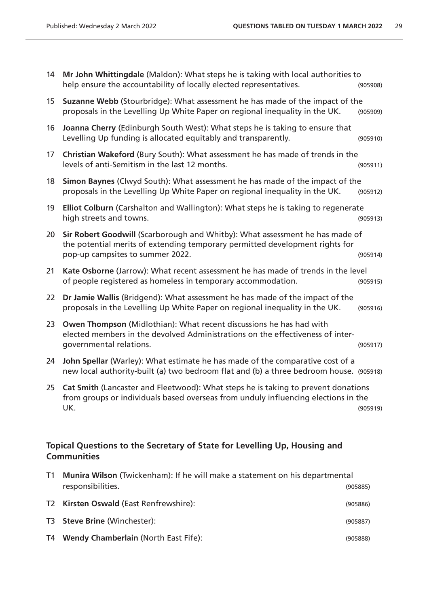| 14                                                                                              | Mr John Whittingdale (Maldon): What steps he is taking with local authorities to<br>help ensure the accountability of locally elected representatives.                                           | (905908) |
|-------------------------------------------------------------------------------------------------|--------------------------------------------------------------------------------------------------------------------------------------------------------------------------------------------------|----------|
| 15 <sub>15</sub>                                                                                | Suzanne Webb (Stourbridge): What assessment he has made of the impact of the<br>proposals in the Levelling Up White Paper on regional inequality in the UK.                                      | (905909) |
| 16                                                                                              | Joanna Cherry (Edinburgh South West): What steps he is taking to ensure that<br>Levelling Up funding is allocated equitably and transparently.                                                   | (905910) |
| 17                                                                                              | Christian Wakeford (Bury South): What assessment he has made of trends in the<br>levels of anti-Semitism in the last 12 months.                                                                  | (905911) |
| 18                                                                                              | Simon Baynes (Clwyd South): What assessment he has made of the impact of the<br>proposals in the Levelling Up White Paper on regional inequality in the UK.                                      | (905912) |
| 19                                                                                              | Elliot Colburn (Carshalton and Wallington): What steps he is taking to regenerate<br>high streets and towns.                                                                                     | (905913) |
| 20                                                                                              | Sir Robert Goodwill (Scarborough and Whitby): What assessment he has made of<br>the potential merits of extending temporary permitted development rights for<br>pop-up campsites to summer 2022. | (905914) |
| 21                                                                                              | Kate Osborne (Jarrow): What recent assessment he has made of trends in the level<br>of people registered as homeless in temporary accommodation.                                                 | (905915) |
| 22                                                                                              | Dr Jamie Wallis (Bridgend): What assessment he has made of the impact of the<br>proposals in the Levelling Up White Paper on regional inequality in the UK.                                      | (905916) |
| 23                                                                                              | Owen Thompson (Midlothian): What recent discussions he has had with<br>elected members in the devolved Administrations on the effectiveness of inter-<br>governmental relations.                 | (905917) |
| 24                                                                                              | John Spellar (Warley): What estimate he has made of the comparative cost of a<br>new local authority-built (a) two bedroom flat and (b) a three bedroom house. (905918)                          |          |
| 25                                                                                              | Cat Smith (Lancaster and Fleetwood): What steps he is taking to prevent donations<br>from groups or individuals based overseas from unduly influencing elections in the<br>UK.                   | (905919) |
| Topical Questions to the Secretary of State for Levelling Up, Housing and<br><b>Communities</b> |                                                                                                                                                                                                  |          |

| T1. | <b>Munira Wilson</b> (Twickenham): If he will make a statement on his departmental |          |  |
|-----|------------------------------------------------------------------------------------|----------|--|
|     | responsibilities.                                                                  | (905885) |  |
|     | T2 Kirsten Oswald (East Renfrewshire):                                             | (905886) |  |
|     | T3 Steve Brine (Winchester):                                                       | (905887) |  |
|     | T4 Wendy Chamberlain (North East Fife):                                            | (905888) |  |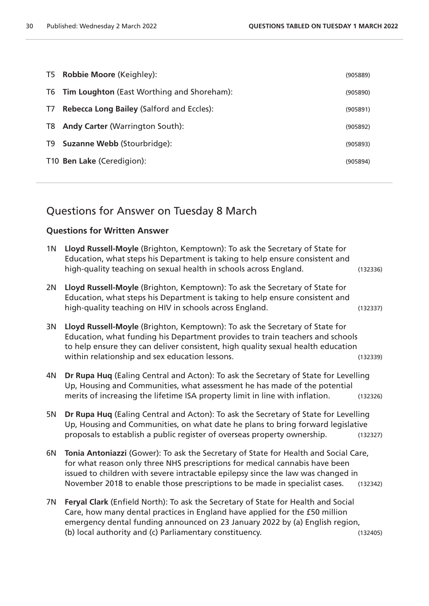|               | T5 Robbie Moore (Keighley):                      | (905889) |
|---------------|--------------------------------------------------|----------|
|               | T6 Tim Loughton (East Worthing and Shoreham):    | (905890) |
| $\frac{1}{2}$ | <b>Rebecca Long Bailey (Salford and Eccles):</b> | (905891) |
| T8            | <b>Andy Carter (Warrington South):</b>           | (905892) |
| T9            | <b>Suzanne Webb (Stourbridge):</b>               | (905893) |
|               | T10 Ben Lake (Ceredigion):                       | (905894) |
|               |                                                  |          |

# Questions for Answer on Tuesday 8 March

#### **Questions for Written Answer**

| 1 <sub>N</sub> | Lloyd Russell-Moyle (Brighton, Kemptown): To ask the Secretary of State for<br>Education, what steps his Department is taking to help ensure consistent and<br>high-quality teaching on sexual health in schools across England.                                                                                                      | (132336) |
|----------------|---------------------------------------------------------------------------------------------------------------------------------------------------------------------------------------------------------------------------------------------------------------------------------------------------------------------------------------|----------|
| 2N             | Lloyd Russell-Moyle (Brighton, Kemptown): To ask the Secretary of State for<br>Education, what steps his Department is taking to help ensure consistent and<br>high-quality teaching on HIV in schools across England.                                                                                                                | (132337) |
| 3N             | Lloyd Russell-Moyle (Brighton, Kemptown): To ask the Secretary of State for<br>Education, what funding his Department provides to train teachers and schools<br>to help ensure they can deliver consistent, high quality sexual health education<br>within relationship and sex education lessons.                                    | (132339) |
| 4N             | Dr Rupa Huq (Ealing Central and Acton): To ask the Secretary of State for Levelling<br>Up, Housing and Communities, what assessment he has made of the potential<br>merits of increasing the lifetime ISA property limit in line with inflation.                                                                                      | (132326) |
| 5N             | Dr Rupa Huq (Ealing Central and Acton): To ask the Secretary of State for Levelling<br>Up, Housing and Communities, on what date he plans to bring forward legislative<br>proposals to establish a public register of overseas property ownership.                                                                                    | (132327) |
| 6N             | Tonia Antoniazzi (Gower): To ask the Secretary of State for Health and Social Care,<br>for what reason only three NHS prescriptions for medical cannabis have been<br>issued to children with severe intractable epilepsy since the law was changed in<br>November 2018 to enable those prescriptions to be made in specialist cases. | (132342) |
| 7N             | Feryal Clark (Enfield North): To ask the Secretary of State for Health and Social<br>Care, how many dental practices in England have applied for the £50 million<br>emergency dental funding announced on 23 January 2022 by (a) English region,<br>(b) local authority and (c) Parliamentary constituency.                           | (132405) |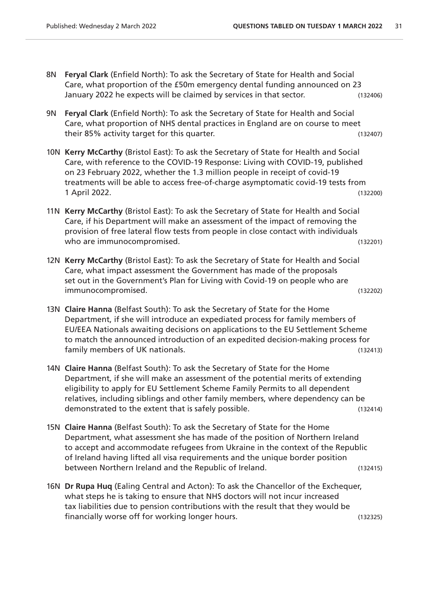- 8N **Feryal Clark** (Enfield North): To ask the Secretary of State for Health and Social Care, what proportion of the £50m emergency dental funding announced on 23 January 2022 he expects will be claimed by services in that sector. (132406)
- 9N **Feryal Clark** (Enfield North): To ask the Secretary of State for Health and Social Care, what proportion of NHS dental practices in England are on course to meet their 85% activity target for this quarter. Their state of the state (132407)
- 10N **Kerry McCarthy** (Bristol East): To ask the Secretary of State for Health and Social Care, with reference to the COVID-19 Response: Living with COVID-19, published on 23 February 2022, whether the 1.3 million people in receipt of covid-19 treatments will be able to access free-of-charge asymptomatic covid-19 tests from 1 April 2022. (132200)
- 11N **Kerry McCarthy** (Bristol East): To ask the Secretary of State for Health and Social Care, if his Department will make an assessment of the impact of removing the provision of free lateral flow tests from people in close contact with individuals who are immunocompromised. The same state of the state of the state of the state of the state of the state of the state of the state of the state of the state of the state of the state of the state of the state of the stat
- 12N **Kerry McCarthy** (Bristol East): To ask the Secretary of State for Health and Social Care, what impact assessment the Government has made of the proposals set out in the Government's Plan for Living with Covid-19 on people who are immunocompromised. (132202)
- 13N **Claire Hanna** (Belfast South): To ask the Secretary of State for the Home Department, if she will introduce an expediated process for family members of EU/EEA Nationals awaiting decisions on applications to the EU Settlement Scheme to match the announced introduction of an expedited decision-making process for family members of UK nationals. (132413)
- 14N **Claire Hanna** (Belfast South): To ask the Secretary of State for the Home Department, if she will make an assessment of the potential merits of extending eligibility to apply for EU Settlement Scheme Family Permits to all dependent relatives, including siblings and other family members, where dependency can be demonstrated to the extent that is safely possible. (132414)
- 15N **Claire Hanna** (Belfast South): To ask the Secretary of State for the Home Department, what assessment she has made of the position of Northern Ireland to accept and accommodate refugees from Ukraine in the context of the Republic of Ireland having lifted all visa requirements and the unique border position between Northern Ireland and the Republic of Ireland. (132415)
- 16N **Dr Rupa Huq** (Ealing Central and Acton): To ask the Chancellor of the Exchequer, what steps he is taking to ensure that NHS doctors will not incur increased tax liabilities due to pension contributions with the result that they would be financially worse off for working longer hours. (132325)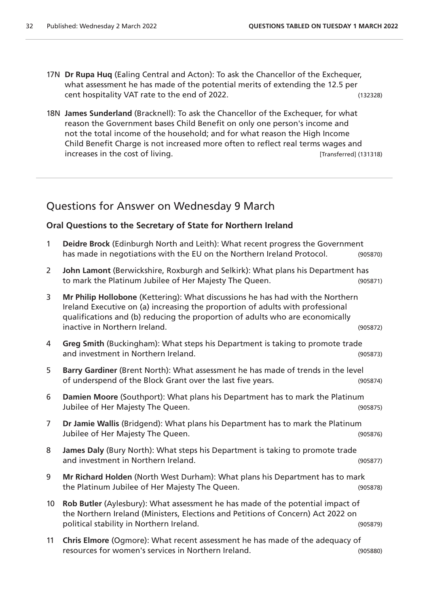- 17N **Dr Rupa Huq** (Ealing Central and Acton): To ask the Chancellor of the Exchequer, what assessment he has made of the potential merits of extending the 12.5 per cent hospitality VAT rate to the end of 2022. (132328)
- 18N **James Sunderland** (Bracknell): To ask the Chancellor of the Exchequer, for what reason the Government bases Child Benefit on only one person's income and not the total income of the household; and for what reason the High Income Child Benefit Charge is not increased more often to reflect real terms wages and increases in the cost of living. The cost of living.

# Questions for Answer on Wednesday 9 March

#### **Oral Questions to the Secretary of State for Northern Ireland**

| $\mathbf{1}$    | Deidre Brock (Edinburgh North and Leith): What recent progress the Government<br>has made in negotiations with the EU on the Northern Ireland Protocol.                                                                                                                            | (905870) |
|-----------------|------------------------------------------------------------------------------------------------------------------------------------------------------------------------------------------------------------------------------------------------------------------------------------|----------|
| $\overline{2}$  | John Lamont (Berwickshire, Roxburgh and Selkirk): What plans his Department has<br>to mark the Platinum Jubilee of Her Majesty The Queen.                                                                                                                                          | (905871) |
| 3               | Mr Philip Hollobone (Kettering): What discussions he has had with the Northern<br>Ireland Executive on (a) increasing the proportion of adults with professional<br>qualifications and (b) reducing the proportion of adults who are economically<br>inactive in Northern Ireland. | (905872) |
| 4               | Greg Smith (Buckingham): What steps his Department is taking to promote trade<br>and investment in Northern Ireland.                                                                                                                                                               | (905873) |
| 5               | Barry Gardiner (Brent North): What assessment he has made of trends in the level<br>of underspend of the Block Grant over the last five years.                                                                                                                                     | (905874) |
| 6               | Damien Moore (Southport): What plans his Department has to mark the Platinum<br>Jubilee of Her Majesty The Queen.                                                                                                                                                                  | (905875) |
| $\overline{7}$  | Dr Jamie Wallis (Bridgend): What plans his Department has to mark the Platinum<br>Jubilee of Her Majesty The Queen.                                                                                                                                                                | (905876) |
| 8               | James Daly (Bury North): What steps his Department is taking to promote trade<br>and investment in Northern Ireland.                                                                                                                                                               | (905877) |
| 9               | Mr Richard Holden (North West Durham): What plans his Department has to mark<br>the Platinum Jubilee of Her Majesty The Queen.                                                                                                                                                     | (905878) |
| 10 <sup>°</sup> | Rob Butler (Aylesbury): What assessment he has made of the potential impact of<br>the Northern Ireland (Ministers, Elections and Petitions of Concern) Act 2022 on<br>political stability in Northern Ireland.                                                                     | (905879) |
| 11              | Chris Elmore (Ogmore): What recent assessment he has made of the adequacy of<br>resources for women's services in Northern Ireland.                                                                                                                                                | (905880) |